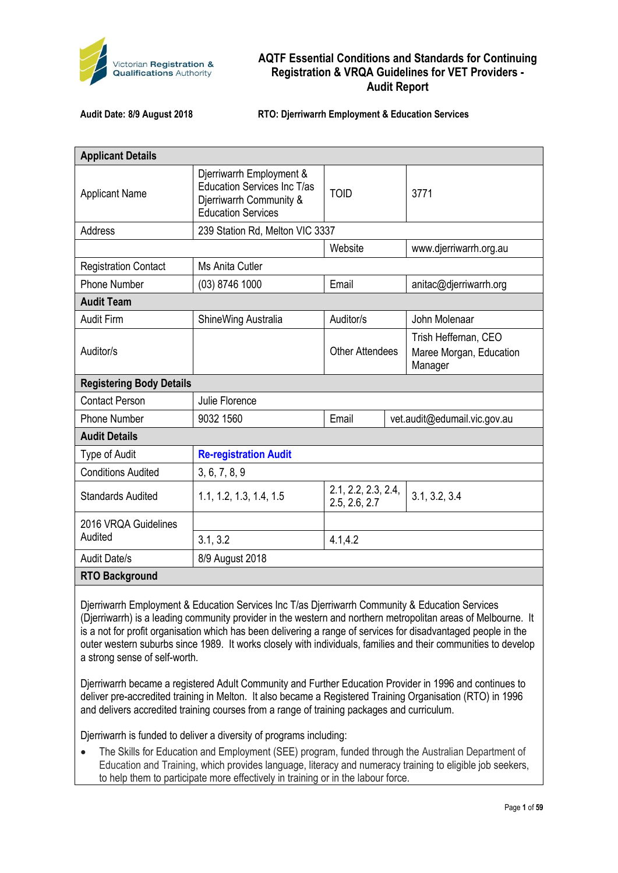

**Audit Date: 8/9 August 2018 RTO: Djerriwarrh Employment & Education Services**

| <b>Applicant Details</b>        |                                                                                                                        |                                      |  |                                                            |  |
|---------------------------------|------------------------------------------------------------------------------------------------------------------------|--------------------------------------|--|------------------------------------------------------------|--|
| <b>Applicant Name</b>           | Djerriwarrh Employment &<br><b>Education Services Inc T/as</b><br>Djerriwarrh Community &<br><b>Education Services</b> | <b>TOID</b>                          |  | 3771                                                       |  |
| Address                         | 239 Station Rd, Melton VIC 3337                                                                                        |                                      |  |                                                            |  |
|                                 |                                                                                                                        | Website                              |  | www.djerriwarrh.org.au                                     |  |
| <b>Registration Contact</b>     | Ms Anita Cutler                                                                                                        |                                      |  |                                                            |  |
| <b>Phone Number</b>             | $(03)$ 8746 1000                                                                                                       | Email                                |  | anitac@djerriwarrh.org                                     |  |
| <b>Audit Team</b>               |                                                                                                                        |                                      |  |                                                            |  |
| <b>Audit Firm</b>               | ShineWing Australia                                                                                                    | Auditor/s                            |  | John Molenaar                                              |  |
| Auditor/s                       |                                                                                                                        | <b>Other Attendees</b>               |  | Trish Heffernan, CEO<br>Maree Morgan, Education<br>Manager |  |
| <b>Registering Body Details</b> |                                                                                                                        |                                      |  |                                                            |  |
| <b>Contact Person</b>           | Julie Florence                                                                                                         |                                      |  |                                                            |  |
| <b>Phone Number</b>             | 9032 1560                                                                                                              | Email                                |  | vet.audit@edumail.vic.gov.au                               |  |
| <b>Audit Details</b>            |                                                                                                                        |                                      |  |                                                            |  |
| Type of Audit                   | <b>Re-registration Audit</b>                                                                                           |                                      |  |                                                            |  |
| <b>Conditions Audited</b>       | 3, 6, 7, 8, 9                                                                                                          |                                      |  |                                                            |  |
| <b>Standards Audited</b>        | 1.1, 1.2, 1.3, 1.4, 1.5                                                                                                | 2.1, 2.2, 2.3, 2.4,<br>2.5, 2.6, 2.7 |  | 3.1, 3.2, 3.4                                              |  |
| 2016 VRQA Guidelines            |                                                                                                                        |                                      |  |                                                            |  |
| Audited                         | 3.1, 3.2                                                                                                               | 4.1, 4.2                             |  |                                                            |  |
| <b>Audit Date/s</b>             | 8/9 August 2018                                                                                                        |                                      |  |                                                            |  |
| <b>RTO Background</b>           |                                                                                                                        |                                      |  |                                                            |  |

Djerriwarrh Employment & Education Services Inc T/as Djerriwarrh Community & Education Services (Djerriwarrh) is a leading community provider in the western and northern metropolitan areas of Melbourne. It is a not for profit organisation which has been delivering a range of services for disadvantaged people in the outer western suburbs since 1989. It works closely with individuals, families and their communities to develop a strong sense of self-worth.

Djerriwarrh became a registered Adult Community and Further Education Provider in 1996 and continues to deliver pre-accredited training in Melton. It also became a Registered Training Organisation (RTO) in 1996 and delivers accredited training courses from a range of training packages and curriculum.

Djerriwarrh is funded to deliver a diversity of programs including:

• The Skills for Education and Employment (SEE) program, funded through the Australian Department of Education and Training, which provides language, literacy and numeracy training to eligible job seekers, to help them to participate more effectively in training or in the labour force.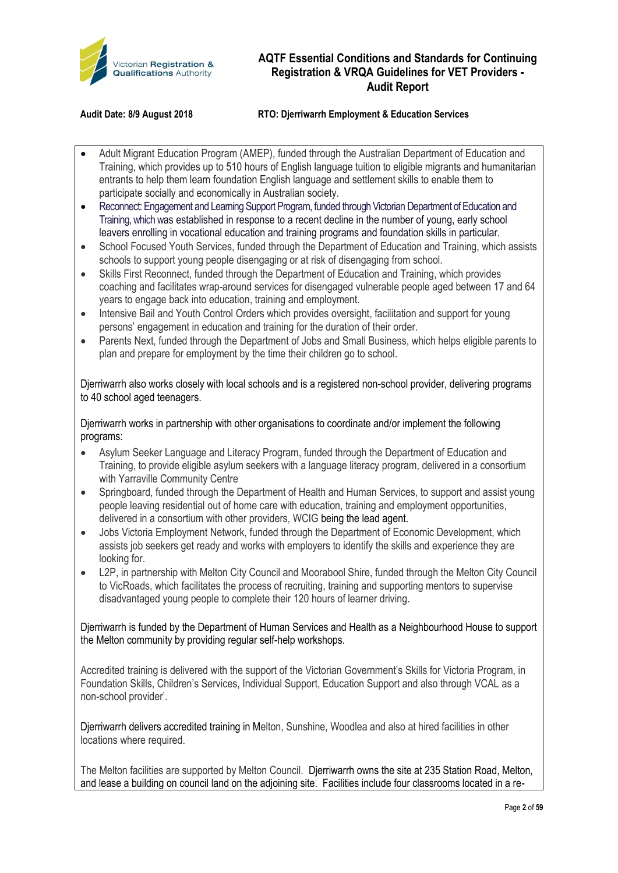

#### **Audit Date: 8/9 August 2018 RTO: Djerriwarrh Employment & Education Services**

- Adult Migrant Education Program (AMEP), funded through the Australian Department of Education and Training, which provides up to 510 hours of English language tuition to eligible migrants and humanitarian entrants to help them learn foundation English language and settlement skills to enable them to participate socially and economically in Australian society.
- Reconnect: Engagement and Learning Support Program, funded through Victorian Department of Education and Training, which was established in response to a recent decline in the number of young, early school leavers enrolling in vocational education and training programs and foundation skills in particular.
- School Focused Youth Services, funded through the Department of Education and Training, which assists schools to support young people disengaging or at risk of disengaging from school.
- Skills First Reconnect, funded through the Department of Education and Training, which provides coaching and facilitates wrap-around services for disengaged vulnerable people aged between 17 and 64 years to engage back into education, training and employment.
- Intensive Bail and Youth Control Orders which provides oversight, facilitation and support for young persons' engagement in education and training for the duration of their order.
- Parents Next, funded through the Department of Jobs and Small Business, which helps eligible parents to plan and prepare for employment by the time their children go to school.

Djerriwarrh also works closely with local schools and is a registered non-school provider, delivering programs to 40 school aged teenagers.

Djerriwarrh works in partnership with other organisations to coordinate and/or implement the following programs:

- Asylum Seeker Language and Literacy Program, funded through the Department of Education and Training, to provide eligible asylum seekers with a language literacy program, delivered in a consortium with Yarraville Community Centre
- Springboard, funded through the Department of Health and Human Services, to support and assist young people leaving residential out of home care with education, training and employment opportunities, delivered in a consortium with other providers, WCIG being the lead agent.
- Jobs Victoria Employment Network, funded through the Department of Economic Development, which assists job seekers get ready and works with employers to identify the skills and experience they are looking for.
- L2P, in partnership with Melton City Council and Moorabool Shire, funded through the Melton City Council to VicRoads, which facilitates the process of recruiting, training and supporting mentors to supervise disadvantaged young people to complete their 120 hours of learner driving.

Djerriwarrh is funded by the Department of Human Services and Health as a Neighbourhood House to support the Melton community by providing regular self-help workshops.

Accredited training is delivered with the support of the Victorian Government's Skills for Victoria Program, in Foundation Skills, Children's Services, Individual Support, Education Support and also through VCAL as a non-school provider'.

Djerriwarrh delivers accredited training in Melton, Sunshine, Woodlea and also at hired facilities in other locations where required.

The Melton facilities are supported by Melton Council. Djerriwarrh owns the site at 235 Station Road, Melton, and lease a building on council land on the adjoining site. Facilities include four classrooms located in a re-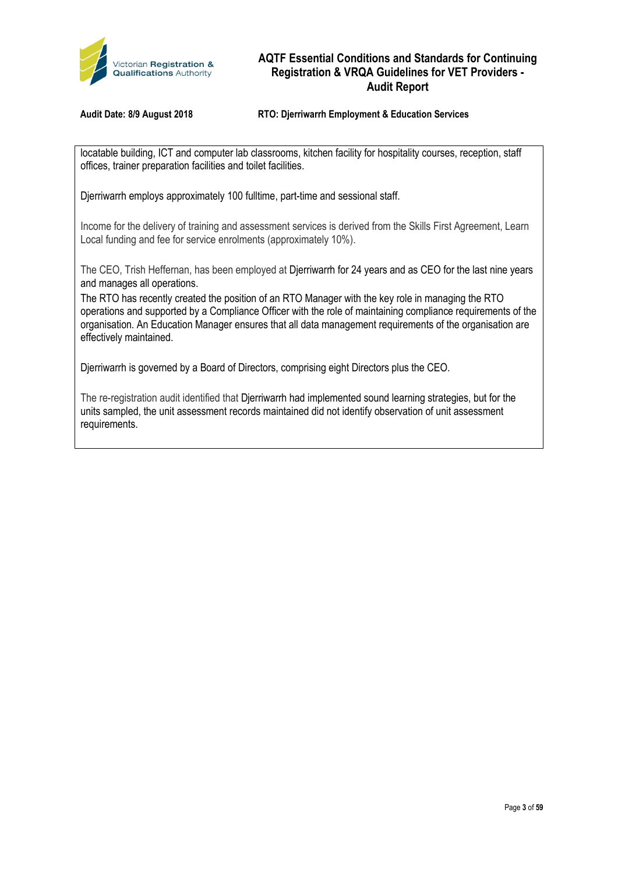

**Audit Date: 8/9 August 2018 RTO: Djerriwarrh Employment & Education Services**

locatable building, ICT and computer lab classrooms, kitchen facility for hospitality courses, reception, staff offices, trainer preparation facilities and toilet facilities.

Djerriwarrh employs approximately 100 fulltime, part-time and sessional staff.

Income for the delivery of training and assessment services is derived from the Skills First Agreement, Learn Local funding and fee for service enrolments (approximately 10%).

The CEO, Trish Heffernan, has been employed at Djerriwarrh for 24 years and as CEO for the last nine years and manages all operations.

The RTO has recently created the position of an RTO Manager with the key role in managing the RTO operations and supported by a Compliance Officer with the role of maintaining compliance requirements of the organisation. An Education Manager ensures that all data management requirements of the organisation are effectively maintained.

Djerriwarrh is governed by a Board of Directors, comprising eight Directors plus the CEO.

The re-registration audit identified that Djerriwarrh had implemented sound learning strategies, but for the units sampled, the unit assessment records maintained did not identify observation of unit assessment requirements.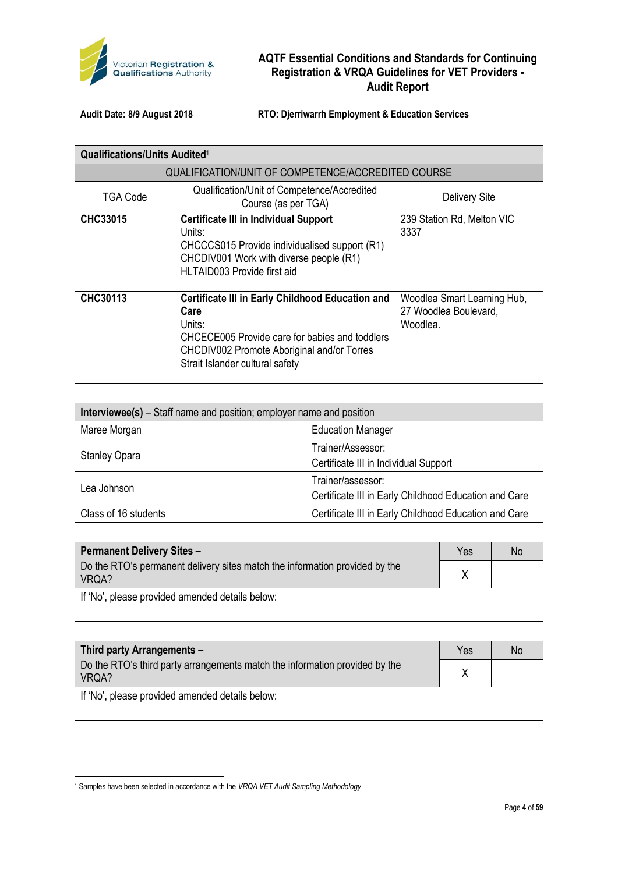

**Audit Date: 8/9 August 2018 RTO: Djerriwarrh Employment & Education Services**

| <b>Qualifications/Units Audited1</b> |                                                                                                                                                                                                              |                                                                  |  |  |
|--------------------------------------|--------------------------------------------------------------------------------------------------------------------------------------------------------------------------------------------------------------|------------------------------------------------------------------|--|--|
|                                      | QUALIFICATION/UNIT OF COMPETENCE/ACCREDITED COURSE                                                                                                                                                           |                                                                  |  |  |
| TGA Code                             | Qualification/Unit of Competence/Accredited<br>Course (as per TGA)                                                                                                                                           | <b>Delivery Site</b>                                             |  |  |
| <b>CHC33015</b>                      | <b>Certificate III in Individual Support</b><br>Units:<br>CHCCCS015 Provide individualised support (R1)<br>CHCDIV001 Work with diverse people (R1)<br>HLTAID003 Provide first aid                            | 239 Station Rd, Melton VIC<br>3337                               |  |  |
| CHC30113                             | <b>Certificate III in Early Childhood Education and</b><br>Care<br>Units:<br>CHCECE005 Provide care for babies and toddlers<br>CHCDIV002 Promote Aboriginal and/or Torres<br>Strait Islander cultural safety | Woodlea Smart Learning Hub,<br>27 Woodlea Boulevard,<br>Woodlea. |  |  |

| <b>Interviewee(s)</b> – Staff name and position; employer name and position |                                                                            |  |  |
|-----------------------------------------------------------------------------|----------------------------------------------------------------------------|--|--|
| Maree Morgan                                                                | <b>Education Manager</b>                                                   |  |  |
| <b>Stanley Opara</b>                                                        | Trainer/Assessor:<br>Certificate III in Individual Support                 |  |  |
| Lea Johnson                                                                 | Trainer/assessor:<br>Certificate III in Early Childhood Education and Care |  |  |
| Class of 16 students                                                        | Certificate III in Early Childhood Education and Care                      |  |  |

| <b>Permanent Delivery Sites -</b>                                                    | Yes | No |
|--------------------------------------------------------------------------------------|-----|----|
| Do the RTO's permanent delivery sites match the information provided by the<br>VRQA? |     |    |
| If 'No', please provided amended details below:                                      |     |    |

| <b>Third party Arrangements -</b>                                                    | Yes | No |
|--------------------------------------------------------------------------------------|-----|----|
| Do the RTO's third party arrangements match the information provided by the<br>VRQA? |     |    |
| If 'No', please provided amended details below:                                      |     |    |

.<br>-

<sup>1</sup> Samples have been selected in accordance with the *VRQA VET Audit Sampling Methodology*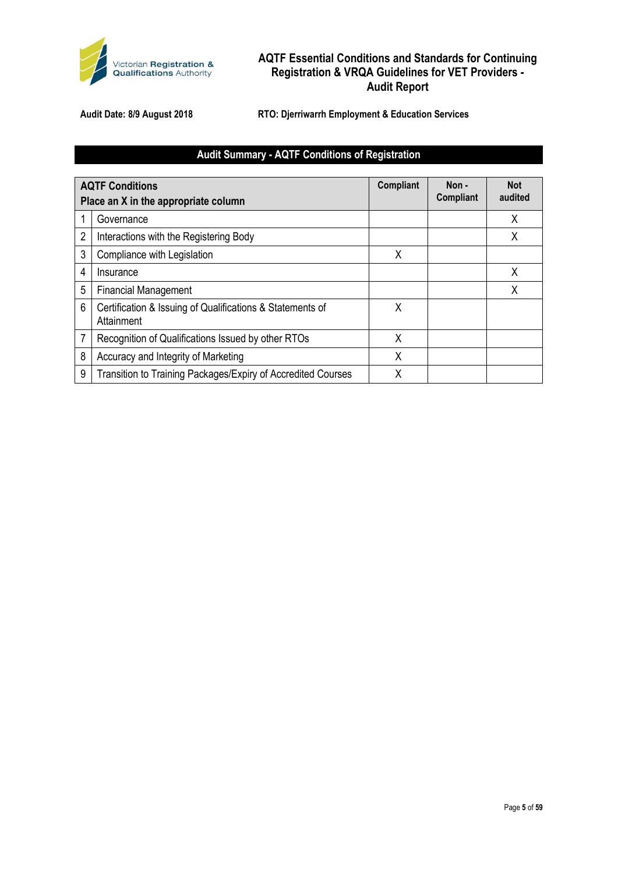

**Audit Date: 8/9 August 2018 RTO: Djerriwarrh Employment & Education Services**

## **Audit Summary - AQTF Conditions of Registration**

|   | <b>AQTF Conditions</b><br>Place an X in the appropriate column          | Compliant | Non -<br><b>Compliant</b> | Not<br>audited |
|---|-------------------------------------------------------------------------|-----------|---------------------------|----------------|
|   | Governance                                                              |           |                           | X              |
| 2 | Interactions with the Registering Body                                  |           |                           | Χ              |
| 3 | Compliance with Legislation                                             | Χ         |                           |                |
| 4 | Insurance                                                               |           |                           | X              |
| 5 | <b>Financial Management</b>                                             |           |                           | Χ              |
| 6 | Certification & Issuing of Qualifications & Statements of<br>Attainment | χ         |                           |                |
| 7 | Recognition of Qualifications Issued by other RTOs                      | X         |                           |                |
| 8 | Accuracy and Integrity of Marketing                                     | Χ         |                           |                |
| 9 | Transition to Training Packages/Expiry of Accredited Courses            | Χ         |                           |                |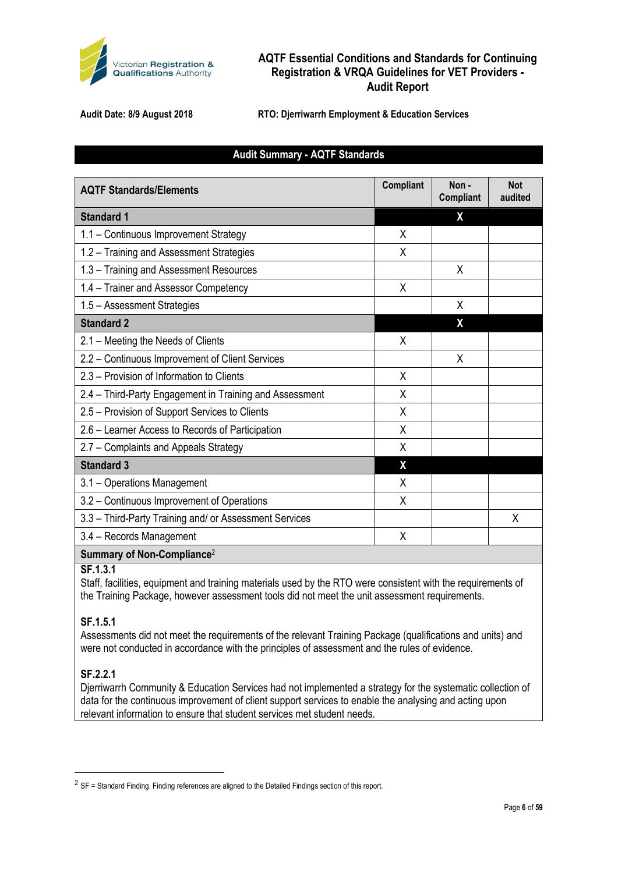

**Audit Date: 8/9 August 2018 RTO: Djerriwarrh Employment & Education Services**

#### **Audit Summary - AQTF Standards**

| <b>AQTF Standards/Elements</b>                          | <b>Compliant</b> | Non-<br><b>Compliant</b> | <b>Not</b><br>audited |
|---------------------------------------------------------|------------------|--------------------------|-----------------------|
| <b>Standard 1</b>                                       |                  | χ                        |                       |
| 1.1 - Continuous Improvement Strategy                   | X                |                          |                       |
| 1.2 - Training and Assessment Strategies                | Χ                |                          |                       |
| 1.3 - Training and Assessment Resources                 |                  | X                        |                       |
| 1.4 - Trainer and Assessor Competency                   | X                |                          |                       |
| 1.5 - Assessment Strategies                             |                  | X                        |                       |
| <b>Standard 2</b>                                       |                  | X                        |                       |
| 2.1 – Meeting the Needs of Clients                      | X                |                          |                       |
| 2.2 - Continuous Improvement of Client Services         |                  | X                        |                       |
| 2.3 – Provision of Information to Clients               | X                |                          |                       |
| 2.4 – Third-Party Engagement in Training and Assessment | X                |                          |                       |
| 2.5 - Provision of Support Services to Clients          | X                |                          |                       |
| 2.6 - Learner Access to Records of Participation        | X                |                          |                       |
| 2.7 - Complaints and Appeals Strategy                   | X                |                          |                       |
| <b>Standard 3</b>                                       | X                |                          |                       |
| 3.1 - Operations Management                             | X                |                          |                       |
| 3.2 - Continuous Improvement of Operations              | X                |                          |                       |
| 3.3 - Third-Party Training and/ or Assessment Services  |                  |                          | X                     |
| 3.4 - Records Management                                | X                |                          |                       |
| Summary of Non-Compliance <sup>2</sup>                  |                  |                          |                       |

#### **SF.1.3.1**

Staff, facilities, equipment and training materials used by the RTO were consistent with the requirements of the Training Package, however assessment tools did not meet the unit assessment requirements.

#### **SF.1.5.1**

Assessments did not meet the requirements of the relevant Training Package (qualifications and units) and were not conducted in accordance with the principles of assessment and the rules of evidence.

#### **SF.2.2.1**

 $\overline{a}$ 

Djerriwarrh Community & Education Services had not implemented a strategy for the systematic collection of data for the continuous improvement of client support services to enable the analysing and acting upon relevant information to ensure that student services met student needs.

 $2$  SF = Standard Finding. Finding references are aligned to the Detailed Findings section of this report.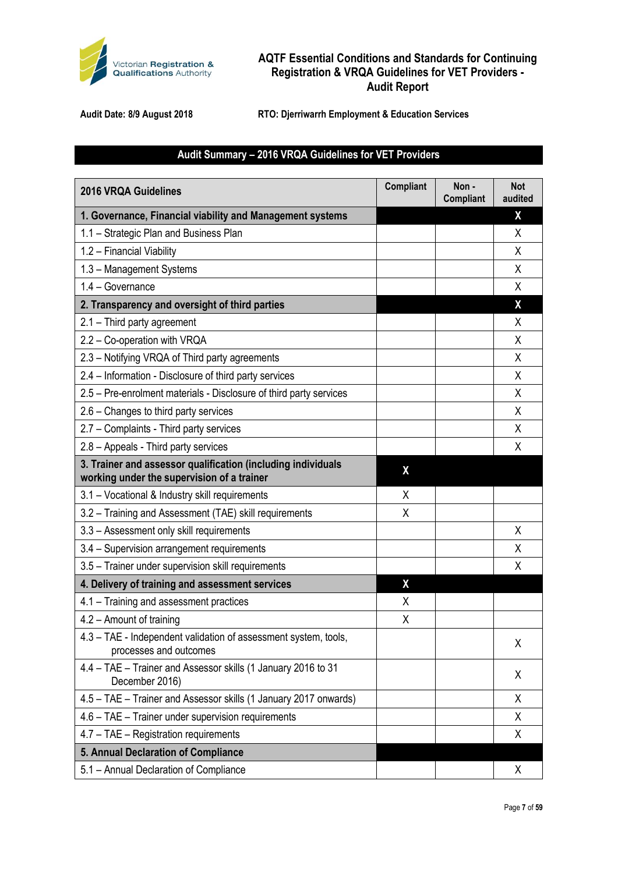

**Audit Date: 8/9 August 2018 RTO: Djerriwarrh Employment & Education Services**

## **Audit Summary – 2016 VRQA Guidelines for VET Providers**

| <b>2016 VRQA Guidelines</b>                                                                                | Compliant | Non-<br><b>Compliant</b> | <b>Not</b><br>audited |
|------------------------------------------------------------------------------------------------------------|-----------|--------------------------|-----------------------|
| 1. Governance, Financial viability and Management systems                                                  |           |                          | χ                     |
| 1.1 - Strategic Plan and Business Plan                                                                     |           |                          | X                     |
| 1.2 - Financial Viability                                                                                  |           |                          | X                     |
| 1.3 - Management Systems                                                                                   |           |                          | X                     |
| 1.4 - Governance                                                                                           |           |                          | X                     |
| 2. Transparency and oversight of third parties                                                             |           |                          | X                     |
| 2.1 - Third party agreement                                                                                |           |                          | Χ                     |
| 2.2 - Co-operation with VRQA                                                                               |           |                          | X                     |
| 2.3 - Notifying VRQA of Third party agreements                                                             |           |                          | X                     |
| 2.4 - Information - Disclosure of third party services                                                     |           |                          | X                     |
| 2.5 - Pre-enrolment materials - Disclosure of third party services                                         |           |                          | X                     |
| 2.6 - Changes to third party services                                                                      |           |                          | X                     |
| 2.7 - Complaints - Third party services                                                                    |           |                          | X                     |
| 2.8 - Appeals - Third party services                                                                       |           |                          | X                     |
| 3. Trainer and assessor qualification (including individuals<br>working under the supervision of a trainer | X         |                          |                       |
| 3.1 - Vocational & Industry skill requirements                                                             | X         |                          |                       |
| 3.2 - Training and Assessment (TAE) skill requirements                                                     | X         |                          |                       |
| 3.3 - Assessment only skill requirements                                                                   |           |                          | X                     |
| 3.4 - Supervision arrangement requirements                                                                 |           |                          | X                     |
| 3.5 - Trainer under supervision skill requirements                                                         |           |                          | Χ                     |
| 4. Delivery of training and assessment services                                                            | X         |                          |                       |
| 4.1 - Training and assessment practices                                                                    | X         |                          |                       |
| 4.2 - Amount of training                                                                                   | Χ         |                          |                       |
| 4.3 - TAE - Independent validation of assessment system, tools,<br>processes and outcomes                  |           |                          | χ                     |
| 4.4 - TAE - Trainer and Assessor skills (1 January 2016 to 31<br>December 2016)                            |           |                          | X                     |
| 4.5 - TAE - Trainer and Assessor skills (1 January 2017 onwards)                                           |           |                          | X                     |
| 4.6 - TAE - Trainer under supervision requirements                                                         |           |                          | X                     |
| 4.7 - TAE - Registration requirements                                                                      |           |                          | Χ                     |
| 5. Annual Declaration of Compliance                                                                        |           |                          |                       |
| 5.1 - Annual Declaration of Compliance                                                                     |           |                          | X                     |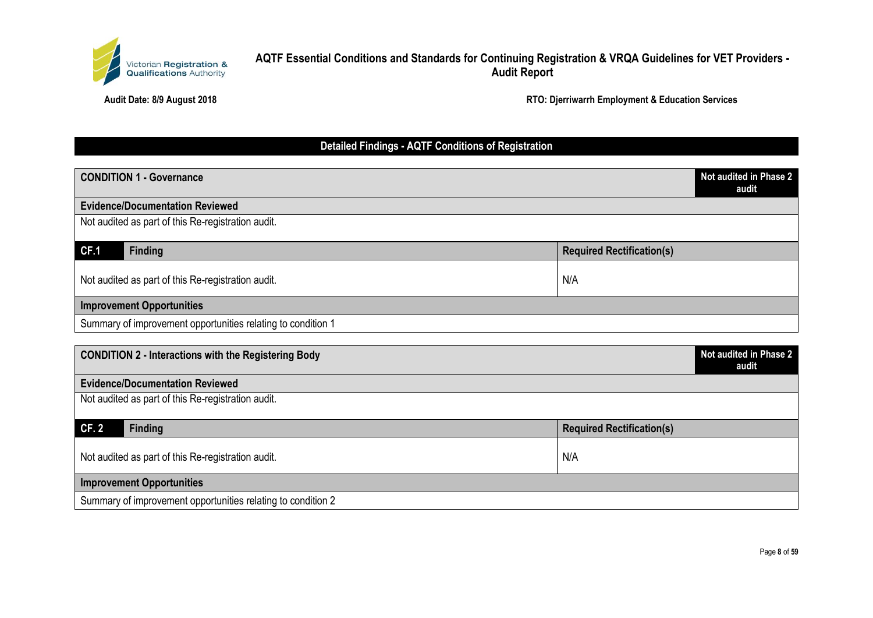

#### **Audit Date: 8/9 August 2018 RTO: Djerriwarrh Employment & Education Services**

# **Detailed Findings - AQTF Conditions of Registration**

| <b>CONDITION 1 - Governance</b>                              |                                  | Not audited in Phase 2<br>audit |
|--------------------------------------------------------------|----------------------------------|---------------------------------|
| <b>Evidence/Documentation Reviewed</b>                       |                                  |                                 |
| Not audited as part of this Re-registration audit.           |                                  |                                 |
| CF.1<br><b>Finding</b>                                       | <b>Required Rectification(s)</b> |                                 |
| Not audited as part of this Re-registration audit.           | N/A                              |                                 |
| <b>Improvement Opportunities</b>                             |                                  |                                 |
| Summary of improvement opportunities relating to condition 1 |                                  |                                 |
|                                                              |                                  |                                 |
| <b>CONDITION 2 - Interactions with the Registering Body</b>  |                                  | Not audited in Phase 2          |

| <b>PONDITION</b> E THOROGONO MAIL GIV ROGONOMING DOWY        | audit                            |
|--------------------------------------------------------------|----------------------------------|
| <b>Evidence/Documentation Reviewed</b>                       |                                  |
| Not audited as part of this Re-registration audit.           |                                  |
| <b>CF.2</b><br><b>Finding</b>                                | <b>Required Rectification(s)</b> |
| Not audited as part of this Re-registration audit.           | N/A                              |
| <b>Improvement Opportunities</b>                             |                                  |
| Summary of improvement opportunities relating to condition 2 |                                  |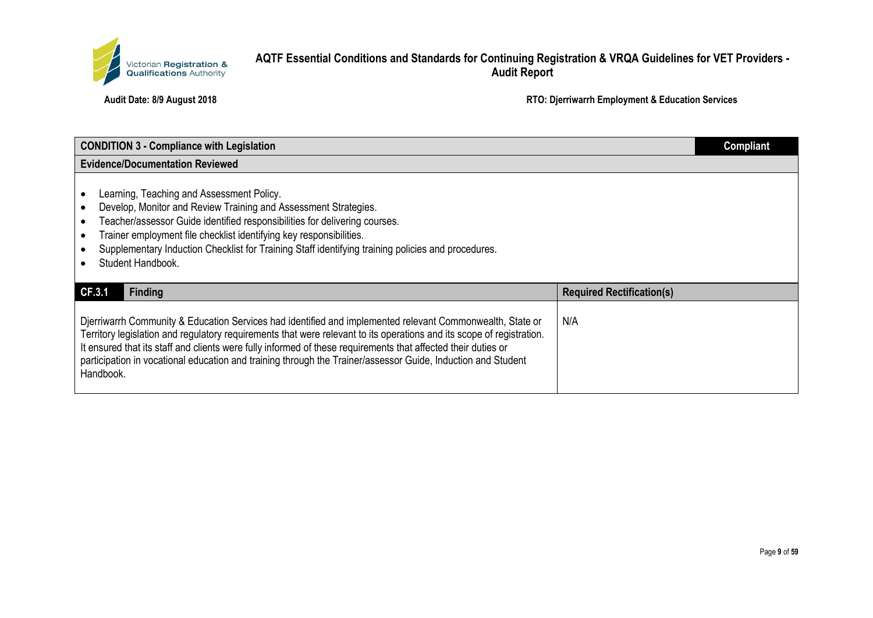

| <b>CONDITION 3 - Compliance with Legislation</b>                                                                                                                                                                                                                                                                                                                                                                                                                                 |                                  | <b>Compliant</b> |
|----------------------------------------------------------------------------------------------------------------------------------------------------------------------------------------------------------------------------------------------------------------------------------------------------------------------------------------------------------------------------------------------------------------------------------------------------------------------------------|----------------------------------|------------------|
| <b>Evidence/Documentation Reviewed</b>                                                                                                                                                                                                                                                                                                                                                                                                                                           |                                  |                  |
| Learning, Teaching and Assessment Policy.<br>Develop, Monitor and Review Training and Assessment Strategies.<br>Teacher/assessor Guide identified responsibilities for delivering courses.<br>Trainer employment file checklist identifying key responsibilities.<br>Supplementary Induction Checklist for Training Staff identifying training policies and procedures.<br>Student Handbook.                                                                                     |                                  |                  |
| CF.3.1<br><b>Finding</b>                                                                                                                                                                                                                                                                                                                                                                                                                                                         | <b>Required Rectification(s)</b> |                  |
| Djerriwarrh Community & Education Services had identified and implemented relevant Commonwealth, State or<br>Territory legislation and regulatory requirements that were relevant to its operations and its scope of registration.<br>It ensured that its staff and clients were fully informed of these requirements that affected their duties or<br>participation in vocational education and training through the Trainer/assessor Guide, Induction and Student<br>Handbook. | N/A                              |                  |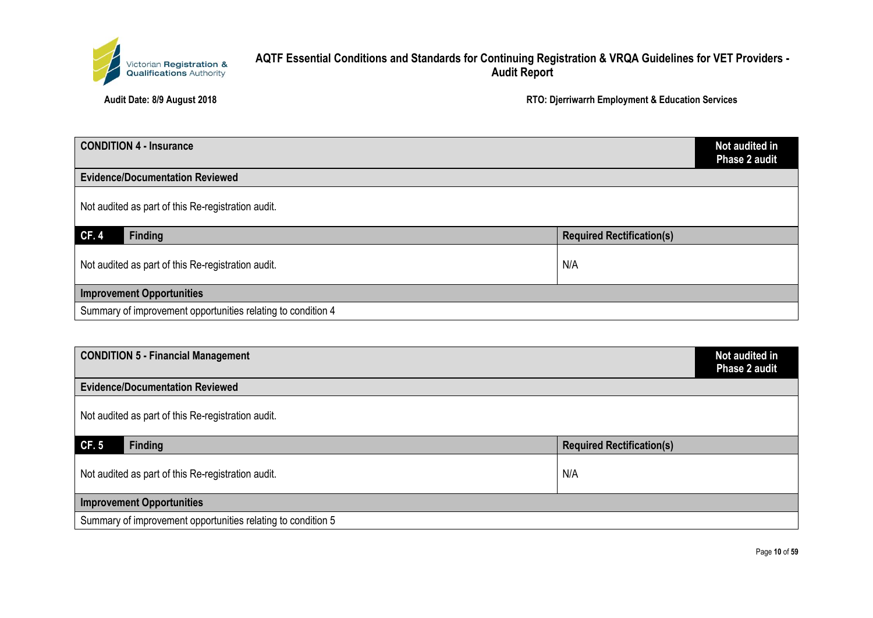

| <b>CONDITION 4 - Insurance</b>                               |                                  | Not audited in<br>Phase 2 audit |
|--------------------------------------------------------------|----------------------------------|---------------------------------|
| <b>Evidence/Documentation Reviewed</b>                       |                                  |                                 |
| Not audited as part of this Re-registration audit.           |                                  |                                 |
| <b>CF.4</b><br>Finding                                       | <b>Required Rectification(s)</b> |                                 |
| Not audited as part of this Re-registration audit.           | N/A                              |                                 |
| <b>Improvement Opportunities</b>                             |                                  |                                 |
| Summary of improvement opportunities relating to condition 4 |                                  |                                 |

| <b>CONDITION 5 - Financial Management</b>                    | Not audited in<br>Phase 2 audit  |
|--------------------------------------------------------------|----------------------------------|
| <b>Evidence/Documentation Reviewed</b>                       |                                  |
| Not audited as part of this Re-registration audit.           |                                  |
| <b>Finding</b><br>CF.5                                       | <b>Required Rectification(s)</b> |
| Not audited as part of this Re-registration audit.           | N/A                              |
| <b>Improvement Opportunities</b>                             |                                  |
| Summary of improvement opportunities relating to condition 5 |                                  |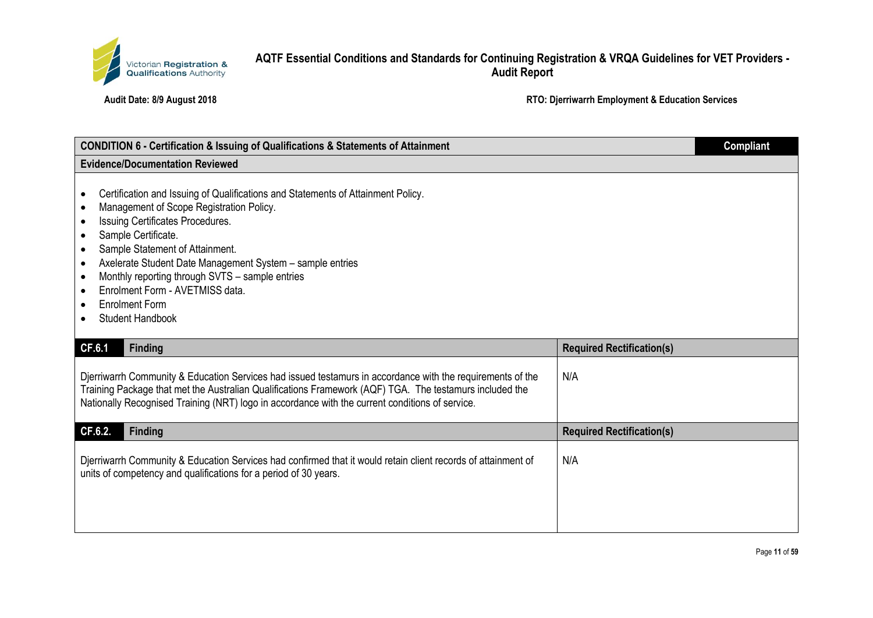

| <b>CONDITION 6 - Certification &amp; Issuing of Qualifications &amp; Statements of Attainment</b>                                                                                                                                                                                                                                                                                                                                                                                                  |                                  | <b>Compliant</b> |
|----------------------------------------------------------------------------------------------------------------------------------------------------------------------------------------------------------------------------------------------------------------------------------------------------------------------------------------------------------------------------------------------------------------------------------------------------------------------------------------------------|----------------------------------|------------------|
| <b>Evidence/Documentation Reviewed</b>                                                                                                                                                                                                                                                                                                                                                                                                                                                             |                                  |                  |
| Certification and Issuing of Qualifications and Statements of Attainment Policy.<br>$\bullet$<br>Management of Scope Registration Policy.<br>Issuing Certificates Procedures.<br>Sample Certificate.<br>$\bullet$<br>Sample Statement of Attainment.<br>$\bullet$<br>Axelerate Student Date Management System - sample entries<br>$\bullet$<br>Monthly reporting through SVTS - sample entries<br>$\bullet$<br>Enrolment Form - AVETMISS data.<br><b>Enrolment Form</b><br><b>Student Handbook</b> |                                  |                  |
| <b>CF.6.1</b><br><b>Finding</b>                                                                                                                                                                                                                                                                                                                                                                                                                                                                    | <b>Required Rectification(s)</b> |                  |
| Djerriwarrh Community & Education Services had issued testamurs in accordance with the requirements of the<br>Training Package that met the Australian Qualifications Framework (AQF) TGA. The testamurs included the<br>Nationally Recognised Training (NRT) logo in accordance with the current conditions of service.                                                                                                                                                                           | N/A                              |                  |
| CF.6.2.<br><b>Finding</b>                                                                                                                                                                                                                                                                                                                                                                                                                                                                          | <b>Required Rectification(s)</b> |                  |
| Djerriwarrh Community & Education Services had confirmed that it would retain client records of attainment of<br>units of competency and qualifications for a period of 30 years.                                                                                                                                                                                                                                                                                                                  | N/A                              |                  |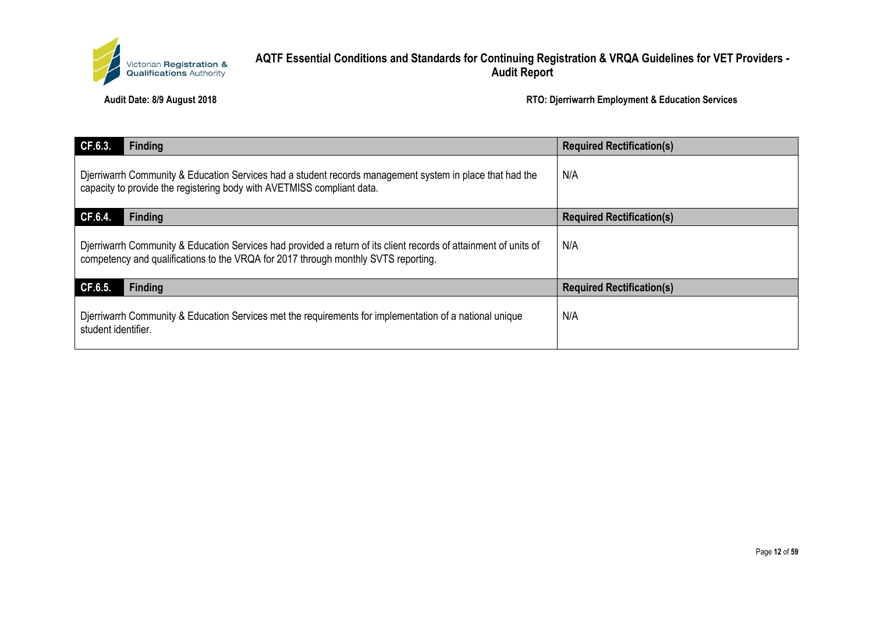

| CF.6.3.<br><b>Finding</b>                                                                                                                                                                              | <b>Required Rectification(s)</b> |
|--------------------------------------------------------------------------------------------------------------------------------------------------------------------------------------------------------|----------------------------------|
| Djerriwarrh Community & Education Services had a student records management system in place that had the<br>capacity to provide the registering body with AVETMISS compliant data.                     | N/A                              |
| CF.6.4.<br><b>Finding</b>                                                                                                                                                                              | <b>Required Rectification(s)</b> |
| Djerriwarrh Community & Education Services had provided a return of its client records of attainment of units of<br>competency and qualifications to the VRQA for 2017 through monthly SVTS reporting. | N/A                              |
| CF.6.5.<br><b>Finding</b>                                                                                                                                                                              | <b>Required Rectification(s)</b> |
| Djerriwarrh Community & Education Services met the requirements for implementation of a national unique<br>student identifier.                                                                         | N/A                              |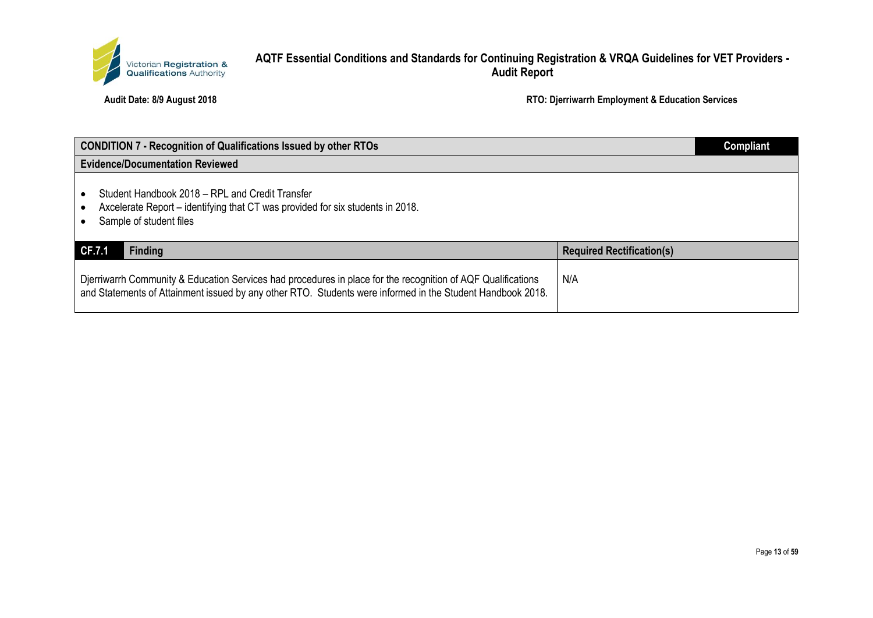

| <b>CONDITION 7 - Recognition of Qualifications Issued by other RTOs</b>                                                                                                                                                    |                                  | <b>Compliant</b> |
|----------------------------------------------------------------------------------------------------------------------------------------------------------------------------------------------------------------------------|----------------------------------|------------------|
| <b>Evidence/Documentation Reviewed</b>                                                                                                                                                                                     |                                  |                  |
| Student Handbook 2018 – RPL and Credit Transfer<br>Axcelerate Report - identifying that CT was provided for six students in 2018.<br>Sample of student files                                                               |                                  |                  |
| <b>Finding</b><br><b>CF.7.1</b>                                                                                                                                                                                            | <b>Required Rectification(s)</b> |                  |
| Dierriwarrh Community & Education Services had procedures in place for the recognition of AQF Qualifications<br>and Statements of Attainment issued by any other RTO. Students were informed in the Student Handbook 2018. | N/A                              |                  |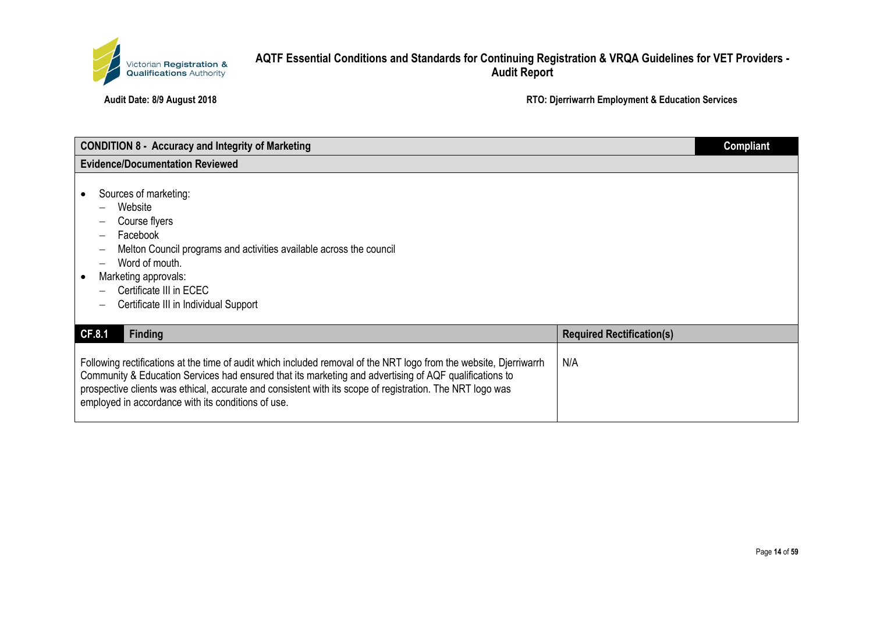

| <b>CONDITION 8 - Accuracy and Integrity of Marketing</b>                                                                                                                                                                                                                                                                                                                                        |                                  | <b>Compliant</b> |
|-------------------------------------------------------------------------------------------------------------------------------------------------------------------------------------------------------------------------------------------------------------------------------------------------------------------------------------------------------------------------------------------------|----------------------------------|------------------|
| <b>Evidence/Documentation Reviewed</b>                                                                                                                                                                                                                                                                                                                                                          |                                  |                  |
| Sources of marketing:<br>Website<br>Course flyers<br>Facebook<br>Melton Council programs and activities available across the council<br>Word of mouth.<br>Marketing approvals:<br>Certificate III in ECEC<br>Certificate III in Individual Support                                                                                                                                              |                                  |                  |
| CF.8.1<br><b>Finding</b>                                                                                                                                                                                                                                                                                                                                                                        | <b>Required Rectification(s)</b> |                  |
| Following rectifications at the time of audit which included removal of the NRT logo from the website, Djerriwarrh<br>Community & Education Services had ensured that its marketing and advertising of AQF qualifications to<br>prospective clients was ethical, accurate and consistent with its scope of registration. The NRT logo was<br>employed in accordance with its conditions of use. | N/A                              |                  |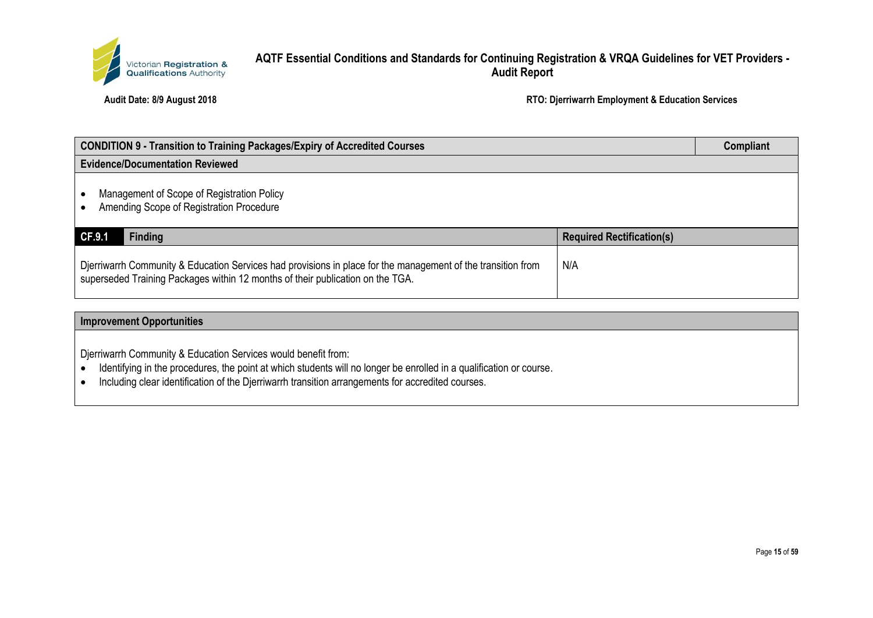

**Audit Date: 8/9 August 2018 RTO: Djerriwarrh Employment & Education Services**

| <b>CONDITION 9 - Transition to Training Packages/Expiry of Accredited Courses</b>                                                                                                              |                                  | Compliant |
|------------------------------------------------------------------------------------------------------------------------------------------------------------------------------------------------|----------------------------------|-----------|
| <b>Evidence/Documentation Reviewed</b>                                                                                                                                                         |                                  |           |
| Management of Scope of Registration Policy<br>Amending Scope of Registration Procedure                                                                                                         |                                  |           |
| CF.9.1<br><b>Finding</b>                                                                                                                                                                       | <b>Required Rectification(s)</b> |           |
| Djerriwarrh Community & Education Services had provisions in place for the management of the transition from<br>superseded Training Packages within 12 months of their publication on the TGA. | N/A                              |           |

#### **Improvement Opportunities**

Djerriwarrh Community & Education Services would benefit from:

- Identifying in the procedures, the point at which students will no longer be enrolled in a qualification or course.
- Including clear identification of the Djerriwarrh transition arrangements for accredited courses.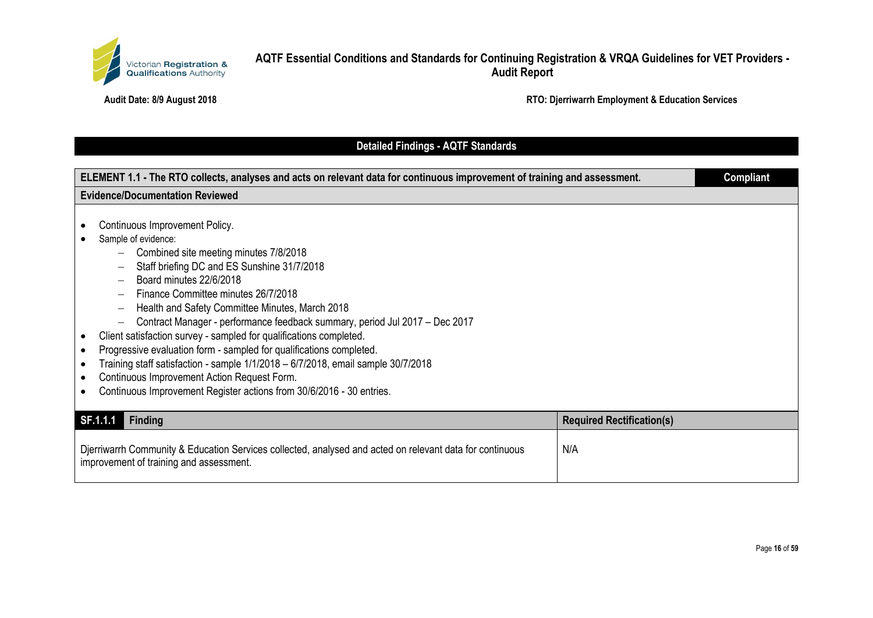

**Audit Date: 8/9 August 2018 RTO: Djerriwarrh Employment & Education Services**

## **Detailed Findings - AQTF Standards**

| ELEMENT 1.1 - The RTO collects, analyses and acts on relevant data for continuous improvement of training and assessment. |                                                                                                                                                                                                                                                                                                                                                                                                                                                                                                                                                                                                                                                                                                            | <b>Compliant</b>                 |  |
|---------------------------------------------------------------------------------------------------------------------------|------------------------------------------------------------------------------------------------------------------------------------------------------------------------------------------------------------------------------------------------------------------------------------------------------------------------------------------------------------------------------------------------------------------------------------------------------------------------------------------------------------------------------------------------------------------------------------------------------------------------------------------------------------------------------------------------------------|----------------------------------|--|
| <b>Evidence/Documentation Reviewed</b>                                                                                    |                                                                                                                                                                                                                                                                                                                                                                                                                                                                                                                                                                                                                                                                                                            |                                  |  |
|                                                                                                                           | Continuous Improvement Policy.<br>Sample of evidence:<br>Combined site meeting minutes 7/8/2018<br>Staff briefing DC and ES Sunshine 31/7/2018<br>Board minutes 22/6/2018<br>Finance Committee minutes 26/7/2018<br>Health and Safety Committee Minutes, March 2018<br>Contract Manager - performance feedback summary, period Jul 2017 - Dec 2017<br>Client satisfaction survey - sampled for qualifications completed.<br>Progressive evaluation form - sampled for qualifications completed.<br>Training staff satisfaction - sample 1/1/2018 - 6/7/2018, email sample 30/7/2018<br>Continuous Improvement Action Request Form.<br>Continuous Improvement Register actions from 30/6/2016 - 30 entries. |                                  |  |
|                                                                                                                           | SF.1.1.1<br><b>Finding</b>                                                                                                                                                                                                                                                                                                                                                                                                                                                                                                                                                                                                                                                                                 | <b>Required Rectification(s)</b> |  |
|                                                                                                                           | Djerriwarrh Community & Education Services collected, analysed and acted on relevant data for continuous<br>improvement of training and assessment.                                                                                                                                                                                                                                                                                                                                                                                                                                                                                                                                                        | N/A                              |  |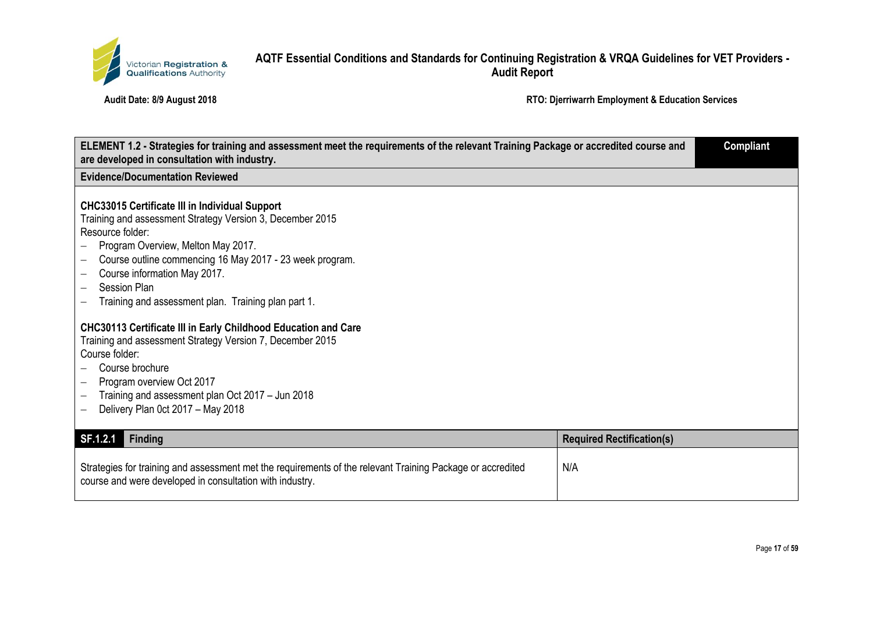

| ELEMENT 1.2 - Strategies for training and assessment meet the requirements of the relevant Training Package or accredited course and<br>are developed in consultation with industry.                                                                                                                                                                                               |                                  | <b>Compliant</b> |
|------------------------------------------------------------------------------------------------------------------------------------------------------------------------------------------------------------------------------------------------------------------------------------------------------------------------------------------------------------------------------------|----------------------------------|------------------|
| <b>Evidence/Documentation Reviewed</b>                                                                                                                                                                                                                                                                                                                                             |                                  |                  |
| <b>CHC33015 Certificate III in Individual Support</b><br>Training and assessment Strategy Version 3, December 2015<br>Resource folder:<br>Program Overview, Melton May 2017.<br>Course outline commencing 16 May 2017 - 23 week program.<br>Course information May 2017.<br><b>Session Plan</b><br>$\overline{\phantom{0}}$<br>Training and assessment plan. Training plan part 1. |                                  |                  |
| CHC30113 Certificate III in Early Childhood Education and Care<br>Training and assessment Strategy Version 7, December 2015<br>Course folder:<br>Course brochure<br>Program overview Oct 2017<br>$-$<br>Training and assessment plan Oct 2017 - Jun 2018<br>Delivery Plan 0ct 2017 - May 2018                                                                                      |                                  |                  |
| SF.1.2.1<br><b>Finding</b>                                                                                                                                                                                                                                                                                                                                                         | <b>Required Rectification(s)</b> |                  |
| Strategies for training and assessment met the requirements of the relevant Training Package or accredited<br>course and were developed in consultation with industry.                                                                                                                                                                                                             | N/A                              |                  |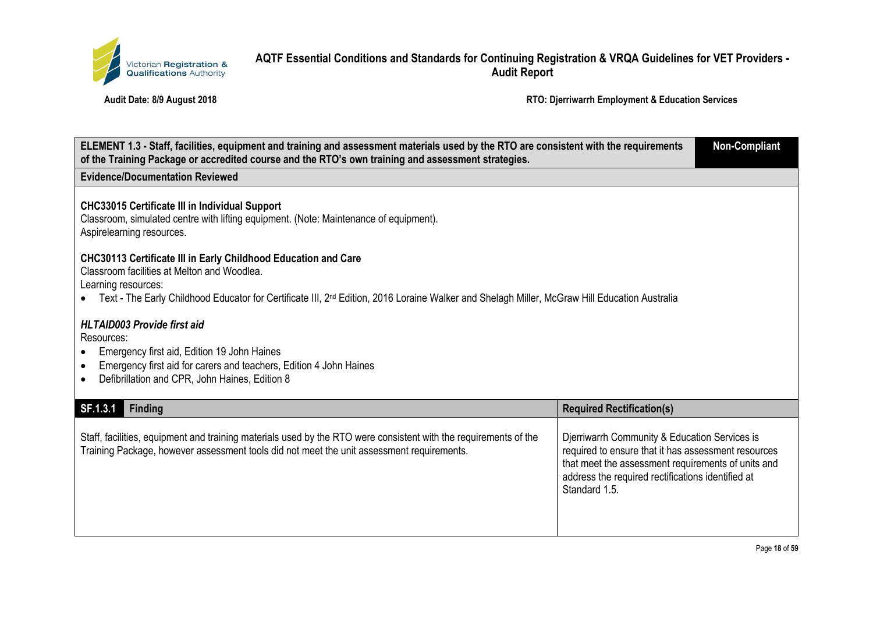

| ELEMENT 1.3 - Staff, facilities, equipment and training and assessment materials used by the RTO are consistent with the requirements<br>of the Training Package or accredited course and the RTO's own training and assessment strategies.                                                              |                                                                                                                                                                                                                                  |  |
|----------------------------------------------------------------------------------------------------------------------------------------------------------------------------------------------------------------------------------------------------------------------------------------------------------|----------------------------------------------------------------------------------------------------------------------------------------------------------------------------------------------------------------------------------|--|
| <b>Evidence/Documentation Reviewed</b>                                                                                                                                                                                                                                                                   |                                                                                                                                                                                                                                  |  |
| <b>CHC33015 Certificate III in Individual Support</b><br>Classroom, simulated centre with lifting equipment. (Note: Maintenance of equipment).<br>Aspirelearning resources.                                                                                                                              |                                                                                                                                                                                                                                  |  |
| <b>CHC30113 Certificate III in Early Childhood Education and Care</b><br>Classroom facilities at Melton and Woodlea.<br>Learning resources:<br>Text - The Early Childhood Educator for Certificate III, 2 <sup>nd</sup> Edition, 2016 Loraine Walker and Shelagh Miller, McGraw Hill Education Australia |                                                                                                                                                                                                                                  |  |
| <b>HLTAID003 Provide first aid</b><br>Resources:<br>Emergency first aid, Edition 19 John Haines<br>Emergency first aid for carers and teachers, Edition 4 John Haines<br>$\bullet$<br>Defibrillation and CPR, John Haines, Edition 8<br>$\bullet$                                                        |                                                                                                                                                                                                                                  |  |
| SF.1.3.1<br><b>Finding</b>                                                                                                                                                                                                                                                                               | <b>Required Rectification(s)</b>                                                                                                                                                                                                 |  |
| Staff, facilities, equipment and training materials used by the RTO were consistent with the requirements of the<br>Training Package, however assessment tools did not meet the unit assessment requirements.                                                                                            | Djerriwarrh Community & Education Services is<br>required to ensure that it has assessment resources<br>that meet the assessment requirements of units and<br>address the required rectifications identified at<br>Standard 1.5. |  |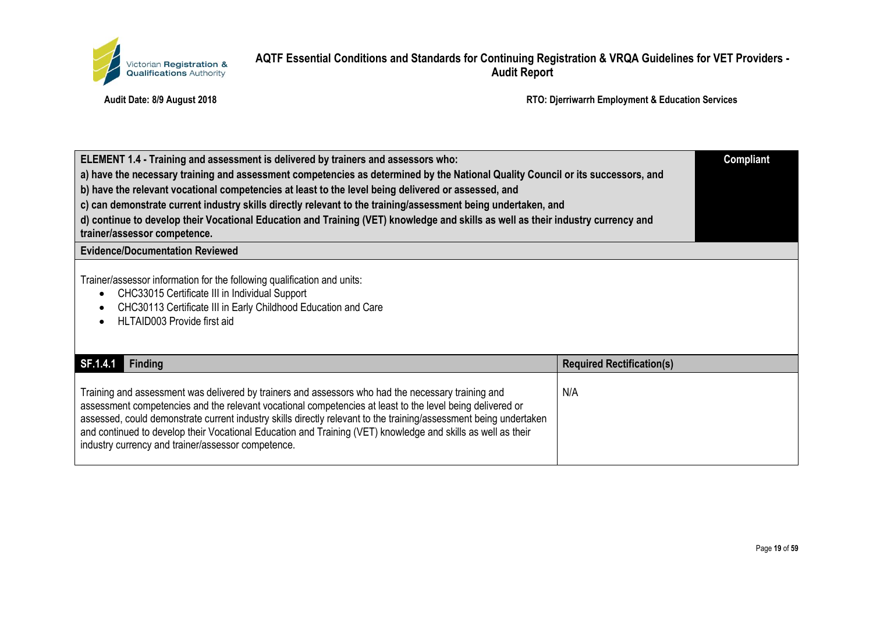

| ELEMENT 1.4 - Training and assessment is delivered by trainers and assessors who:<br>a) have the necessary training and assessment competencies as determined by the National Quality Council or its successors, and<br>b) have the relevant vocational competencies at least to the level being delivered or assessed, and<br>c) can demonstrate current industry skills directly relevant to the training/assessment being undertaken, and<br>d) continue to develop their Vocational Education and Training (VET) knowledge and skills as well as their industry currency and<br>trainer/assessor competence. |                                  |
|------------------------------------------------------------------------------------------------------------------------------------------------------------------------------------------------------------------------------------------------------------------------------------------------------------------------------------------------------------------------------------------------------------------------------------------------------------------------------------------------------------------------------------------------------------------------------------------------------------------|----------------------------------|
| <b>Evidence/Documentation Reviewed</b>                                                                                                                                                                                                                                                                                                                                                                                                                                                                                                                                                                           |                                  |
| Trainer/assessor information for the following qualification and units:<br>CHC33015 Certificate III in Individual Support<br>CHC30113 Certificate III in Early Childhood Education and Care<br>HLTAID003 Provide first aid                                                                                                                                                                                                                                                                                                                                                                                       |                                  |
| SF.1.4.1<br><b>Finding</b>                                                                                                                                                                                                                                                                                                                                                                                                                                                                                                                                                                                       | <b>Required Rectification(s)</b> |
| Training and assessment was delivered by trainers and assessors who had the necessary training and<br>assessment competencies and the relevant vocational competencies at least to the level being delivered or<br>assessed, could demonstrate current industry skills directly relevant to the training/assessment being undertaken<br>and continued to develop their Vocational Education and Training (VET) knowledge and skills as well as their<br>industry currency and trainer/assessor competence.                                                                                                       | N/A                              |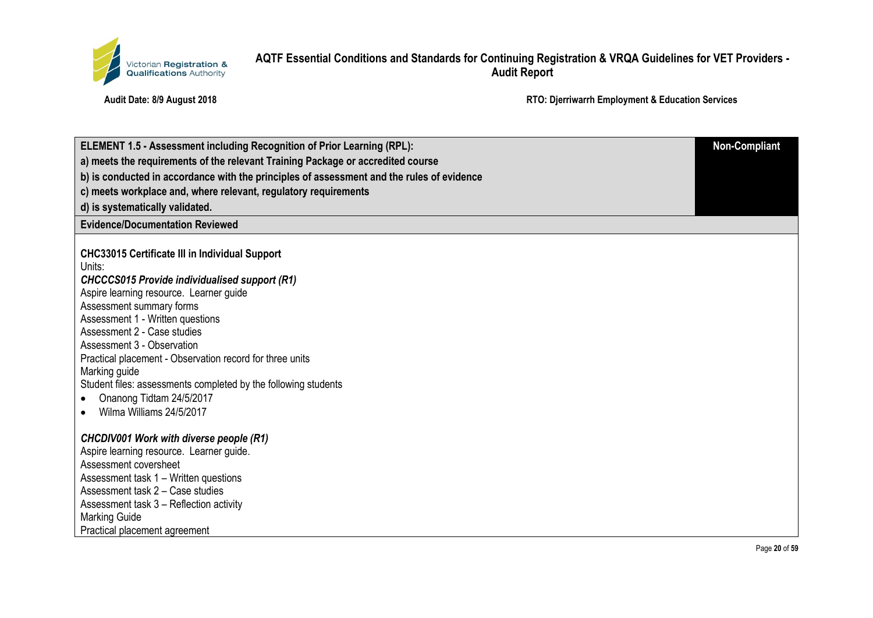

| <b>ELEMENT 1.5 - Assessment including Recognition of Prior Learning (RPL):</b>            | <b>Non-Compliant</b> |
|-------------------------------------------------------------------------------------------|----------------------|
| a) meets the requirements of the relevant Training Package or accredited course           |                      |
| b) is conducted in accordance with the principles of assessment and the rules of evidence |                      |
| c) meets workplace and, where relevant, regulatory requirements                           |                      |
| d) is systematically validated.                                                           |                      |
| <b>Evidence/Documentation Reviewed</b>                                                    |                      |
|                                                                                           |                      |
| <b>CHC33015 Certificate III in Individual Support</b><br>Units:                           |                      |
| <b>CHCCCS015 Provide individualised support (R1)</b>                                      |                      |
| Aspire learning resource. Learner guide                                                   |                      |
| Assessment summary forms                                                                  |                      |
| Assessment 1 - Written questions                                                          |                      |
| Assessment 2 - Case studies                                                               |                      |
| Assessment 3 - Observation                                                                |                      |
| Practical placement - Observation record for three units                                  |                      |
| Marking guide                                                                             |                      |
| Student files: assessments completed by the following students                            |                      |
| Onanong Tidtam 24/5/2017                                                                  |                      |
| Wilma Williams 24/5/2017                                                                  |                      |
| <b>CHCDIV001 Work with diverse people (R1)</b>                                            |                      |
| Aspire learning resource. Learner guide.                                                  |                      |
| Assessment coversheet                                                                     |                      |
| Assessment task 1 - Written questions                                                     |                      |
| Assessment task 2 - Case studies                                                          |                      |
| Assessment task 3 – Reflection activity                                                   |                      |
| <b>Marking Guide</b>                                                                      |                      |
| Practical placement agreement                                                             |                      |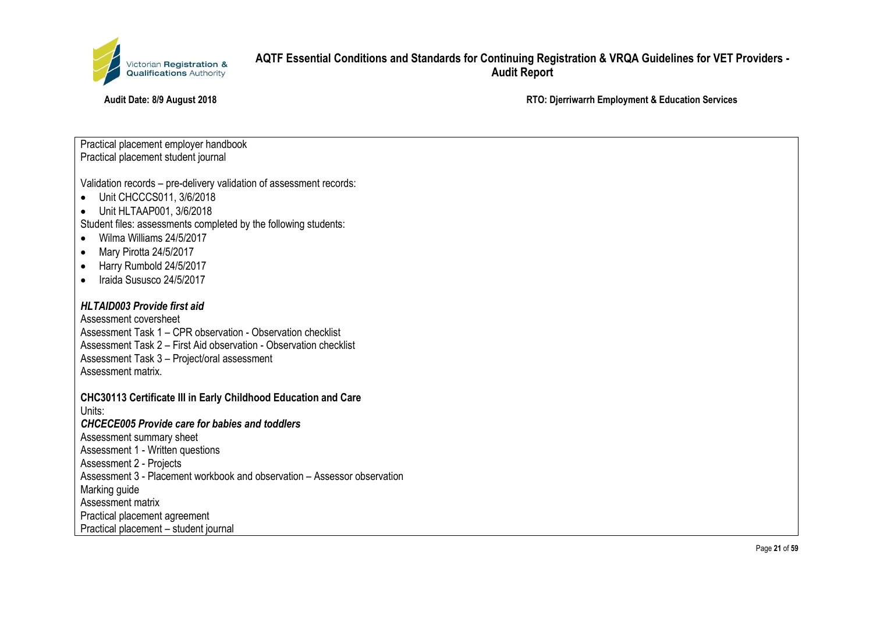

**Audit Date: 8/9 August 2018 RTO: Djerriwarrh Employment & Education Services**

Practical placement employer handbook Practical placement student journal

Validation records – pre-delivery validation of assessment records:

- Unit CHCCCS011, 3/6/2018
- Unit HLTAAP001, 3/6/2018

Student files: assessments completed by the following students:

- Wilma Williams 24/5/2017
- Mary Pirotta 24/5/2017
- Harry Rumbold 24/5/2017
- Iraida Sususco 24/5/2017

#### *HLTAID003 Provide first aid*

Assessment coversheet Assessment Task 1 – CPR observation - Observation checklist Assessment Task 2 – First Aid observation - Observation checklist Assessment Task 3 – Project/oral assessment Assessment matrix.

**CHC30113 Certificate III in Early Childhood Education and Care**

Units:

*CHCECE005 Provide care for babies and toddlers*

Assessment summary sheet

Assessment 1 - Written questions

Assessment 2 - Projects

Assessment 3 - Placement workbook and observation – Assessor observation

Marking guide

Assessment matrix

Practical placement agreement

Practical placement – student journal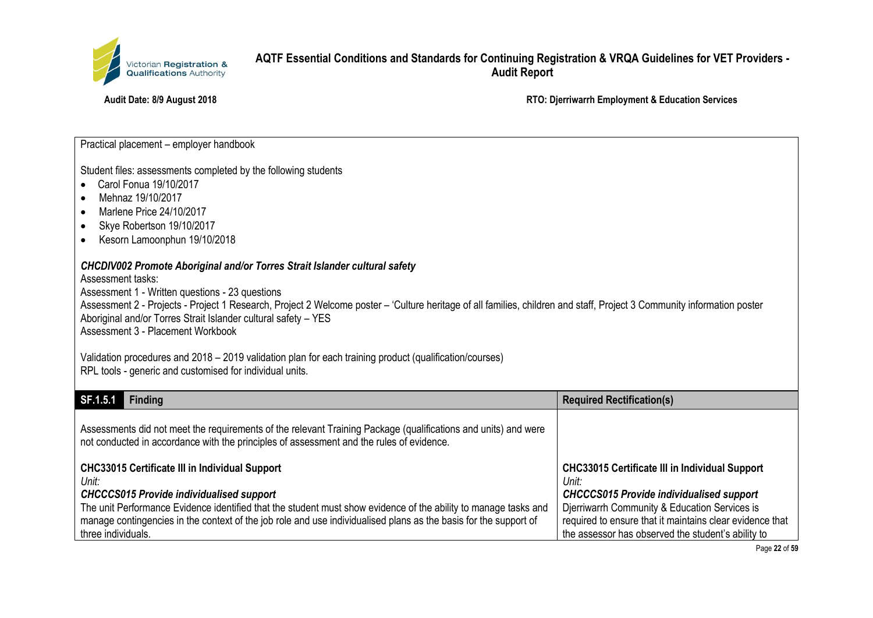

**Audit Date: 8/9 August 2018 RTO: Djerriwarrh Employment & Education Services**

Practical placement – employer handbook

Student files: assessments completed by the following students

- Carol Fonua 19/10/2017
- Mehnaz 19/10/2017
- Marlene Price 24/10/2017
- Skye Robertson 19/10/2017
- Kesorn Lamoonphun 19/10/2018

#### *CHCDIV002 Promote Aboriginal and/or Torres Strait Islander cultural safety*

Assessment tasks:

Assessment 1 - Written questions - 23 questions

Assessment 2 - Projects - Project 1 Research, Project 2 Welcome poster – 'Culture heritage of all families, children and staff, Project 3 Community information poster Aboriginal and/or Torres Strait Islander cultural safety – YES Assessment 3 - Placement Workbook

Validation procedures and 2018 – 2019 validation plan for each training product (qualification/courses) RPL tools - generic and customised for individual units.

| SF.1.5.1<br><b>Finding</b>                                                                                                                                                                                                                                                                                                                                                     | <b>Required Rectification(s)</b>                                                                                                                                                                                                                                                     |
|--------------------------------------------------------------------------------------------------------------------------------------------------------------------------------------------------------------------------------------------------------------------------------------------------------------------------------------------------------------------------------|--------------------------------------------------------------------------------------------------------------------------------------------------------------------------------------------------------------------------------------------------------------------------------------|
| Assessments did not meet the requirements of the relevant Training Package (qualifications and units) and were<br>not conducted in accordance with the principles of assessment and the rules of evidence.                                                                                                                                                                     |                                                                                                                                                                                                                                                                                      |
| <b>CHC33015 Certificate III in Individual Support</b><br>Unit:<br><b>CHCCCS015 Provide individualised support</b><br>The unit Performance Evidence identified that the student must show evidence of the ability to manage tasks and<br>manage contingencies in the context of the job role and use individualised plans as the basis for the support of<br>three individuals. | <b>CHC33015 Certificate III in Individual Support</b><br>Unit:<br><b>CHCCCS015 Provide individualised support</b><br>Djerriwarrh Community & Education Services is<br>required to ensure that it maintains clear evidence that<br>the assessor has observed the student's ability to |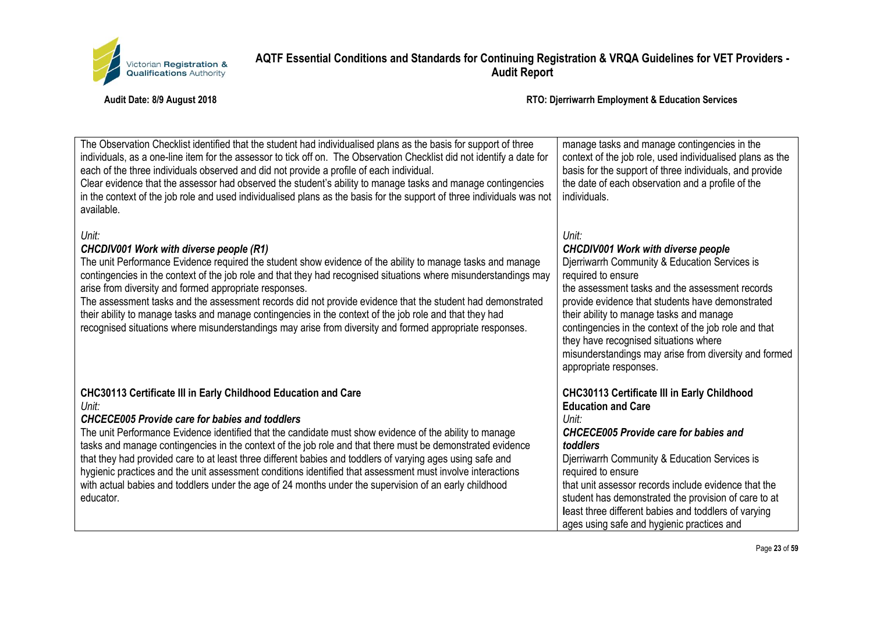

| The Observation Checklist identified that the student had individualised plans as the basis for support of three<br>individuals, as a one-line item for the assessor to tick off on. The Observation Checklist did not identify a date for<br>each of the three individuals observed and did not provide a profile of each individual.<br>Clear evidence that the assessor had observed the student's ability to manage tasks and manage contingencies<br>in the context of the job role and used individualised plans as the basis for the support of three individuals was not<br>available.                                                                                                                      | manage tasks and manage contingencies in the<br>context of the job role, used individualised plans as the<br>basis for the support of three individuals, and provide<br>the date of each observation and a profile of the<br>individuals.                                                                                                                                                                                                                         |
|---------------------------------------------------------------------------------------------------------------------------------------------------------------------------------------------------------------------------------------------------------------------------------------------------------------------------------------------------------------------------------------------------------------------------------------------------------------------------------------------------------------------------------------------------------------------------------------------------------------------------------------------------------------------------------------------------------------------|-------------------------------------------------------------------------------------------------------------------------------------------------------------------------------------------------------------------------------------------------------------------------------------------------------------------------------------------------------------------------------------------------------------------------------------------------------------------|
| Unit:<br><b>CHCDIV001 Work with diverse people (R1)</b><br>The unit Performance Evidence required the student show evidence of the ability to manage tasks and manage<br>contingencies in the context of the job role and that they had recognised situations where misunderstandings may<br>arise from diversity and formed appropriate responses.<br>The assessment tasks and the assessment records did not provide evidence that the student had demonstrated<br>their ability to manage tasks and manage contingencies in the context of the job role and that they had<br>recognised situations where misunderstandings may arise from diversity and formed appropriate responses.                            | Unit:<br><b>CHCDIV001 Work with diverse people</b><br>Djerriwarrh Community & Education Services is<br>required to ensure<br>the assessment tasks and the assessment records<br>provide evidence that students have demonstrated<br>their ability to manage tasks and manage<br>contingencies in the context of the job role and that<br>they have recognised situations where<br>misunderstandings may arise from diversity and formed<br>appropriate responses. |
| <b>CHC30113 Certificate III in Early Childhood Education and Care</b><br>Unit:<br><b>CHCECE005 Provide care for babies and toddlers</b><br>The unit Performance Evidence identified that the candidate must show evidence of the ability to manage<br>tasks and manage contingencies in the context of the job role and that there must be demonstrated evidence<br>that they had provided care to at least three different babies and toddlers of varying ages using safe and<br>hygienic practices and the unit assessment conditions identified that assessment must involve interactions<br>with actual babies and toddlers under the age of 24 months under the supervision of an early childhood<br>educator. | <b>CHC30113 Certificate III in Early Childhood</b><br><b>Education and Care</b><br>Unit:<br><b>CHCECE005 Provide care for babies and</b><br>toddlers<br>Djerriwarrh Community & Education Services is<br>required to ensure<br>that unit assessor records include evidence that the<br>student has demonstrated the provision of care to at<br>least three different babies and toddlers of varying<br>ages using safe and hygienic practices and                 |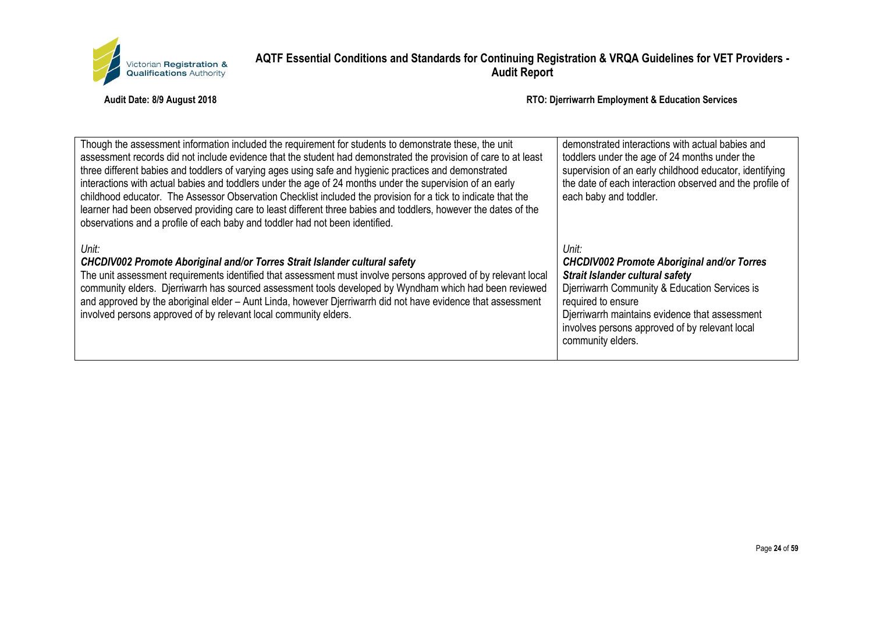

| Though the assessment information included the requirement for students to demonstrate these, the unit<br>assessment records did not include evidence that the student had demonstrated the provision of care to at least<br>three different babies and toddlers of varying ages using safe and hygienic practices and demonstrated<br>interactions with actual babies and toddlers under the age of 24 months under the supervision of an early<br>childhood educator. The Assessor Observation Checklist included the provision for a tick to indicate that the<br>learner had been observed providing care to least different three babies and toddlers, however the dates of the<br>observations and a profile of each baby and toddler had not been identified. | demonstrated interactions with actual babies and<br>toddlers under the age of 24 months under the<br>supervision of an early childhood educator, identifying<br>the date of each interaction observed and the profile of<br>each baby and toddler.                                                   |
|----------------------------------------------------------------------------------------------------------------------------------------------------------------------------------------------------------------------------------------------------------------------------------------------------------------------------------------------------------------------------------------------------------------------------------------------------------------------------------------------------------------------------------------------------------------------------------------------------------------------------------------------------------------------------------------------------------------------------------------------------------------------|------------------------------------------------------------------------------------------------------------------------------------------------------------------------------------------------------------------------------------------------------------------------------------------------------|
| Unit:<br>CHCDIV002 Promote Aboriginal and/or Torres Strait Islander cultural safety<br>The unit assessment requirements identified that assessment must involve persons approved of by relevant local<br>community elders. Djerriwarrh has sourced assessment tools developed by Wyndham which had been reviewed<br>and approved by the aboriginal elder - Aunt Linda, however Djerriwarrh did not have evidence that assessment<br>involved persons approved of by relevant local community elders.                                                                                                                                                                                                                                                                 | Unit:<br><b>CHCDIV002 Promote Aboriginal and/or Torres</b><br><b>Strait Islander cultural safety</b><br>Djerriwarrh Community & Education Services is<br>required to ensure<br>Djerriwarrh maintains evidence that assessment<br>involves persons approved of by relevant local<br>community elders. |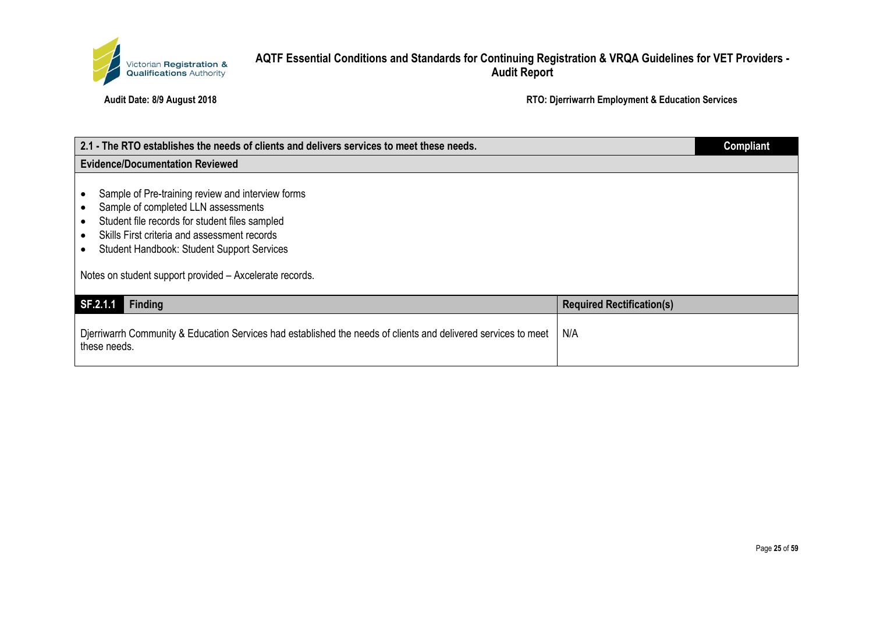

| 2.1 - The RTO establishes the needs of clients and delivers services to meet these needs.                                                                                                                                                                                                                  |                                  | <b>Compliant</b> |
|------------------------------------------------------------------------------------------------------------------------------------------------------------------------------------------------------------------------------------------------------------------------------------------------------------|----------------------------------|------------------|
| <b>Evidence/Documentation Reviewed</b>                                                                                                                                                                                                                                                                     |                                  |                  |
| Sample of Pre-training review and interview forms<br>Sample of completed LLN assessments<br>Student file records for student files sampled<br>Skills First criteria and assessment records<br><b>Student Handbook: Student Support Services</b><br>Notes on student support provided - Axcelerate records. |                                  |                  |
| SF.2.1.1<br><b>Finding</b>                                                                                                                                                                                                                                                                                 | <b>Required Rectification(s)</b> |                  |
| Djerriwarrh Community & Education Services had established the needs of clients and delivered services to meet<br>these needs.                                                                                                                                                                             | N/A                              |                  |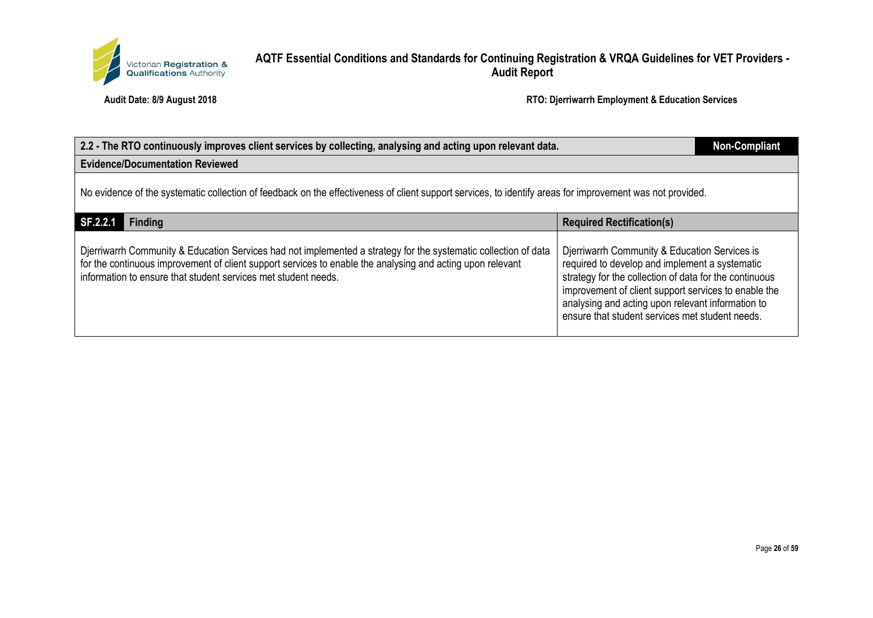

| 2.2 - The RTO continuously improves client services by collecting, analysing and acting upon relevant data.                                                                                                                                                                                     |                                                                                                                                                                                                                                                                                                                           |  |  |
|-------------------------------------------------------------------------------------------------------------------------------------------------------------------------------------------------------------------------------------------------------------------------------------------------|---------------------------------------------------------------------------------------------------------------------------------------------------------------------------------------------------------------------------------------------------------------------------------------------------------------------------|--|--|
| <b>Evidence/Documentation Reviewed</b>                                                                                                                                                                                                                                                          |                                                                                                                                                                                                                                                                                                                           |  |  |
| No evidence of the systematic collection of feedback on the effectiveness of client support services, to identify areas for improvement was not provided.                                                                                                                                       |                                                                                                                                                                                                                                                                                                                           |  |  |
| SF.2.2.1<br>Finding                                                                                                                                                                                                                                                                             | <b>Required Rectification(s)</b>                                                                                                                                                                                                                                                                                          |  |  |
| Djerriwarrh Community & Education Services had not implemented a strategy for the systematic collection of data<br>for the continuous improvement of client support services to enable the analysing and acting upon relevant<br>information to ensure that student services met student needs. | Djerriwarrh Community & Education Services is<br>required to develop and implement a systematic<br>strategy for the collection of data for the continuous<br>improvement of client support services to enable the<br>analysing and acting upon relevant information to<br>ensure that student services met student needs. |  |  |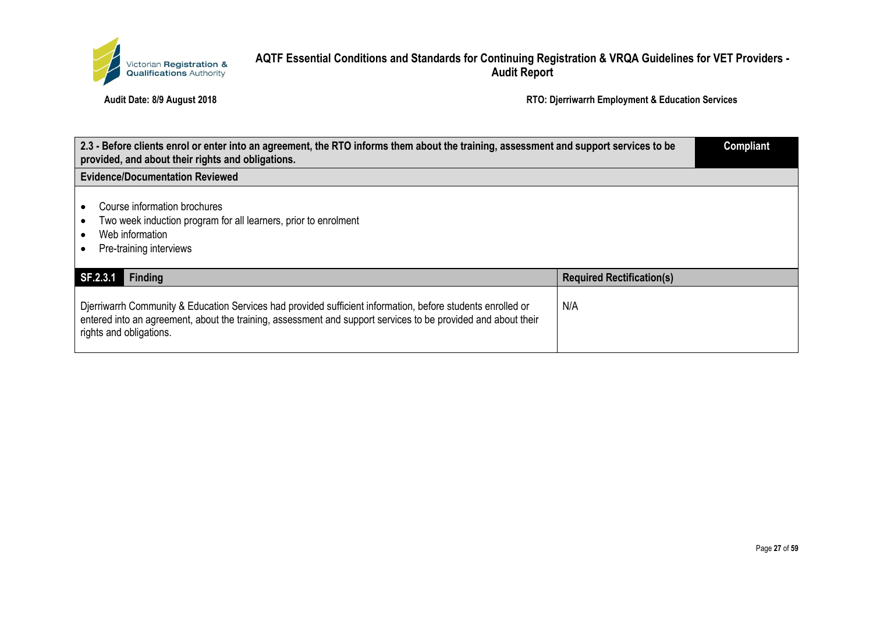

| 2.3 - Before clients enrol or enter into an agreement, the RTO informs them about the training, assessment and support services to be<br>provided, and about their rights and obligations.                                                              |                                  | <b>Compliant</b> |
|---------------------------------------------------------------------------------------------------------------------------------------------------------------------------------------------------------------------------------------------------------|----------------------------------|------------------|
| <b>Evidence/Documentation Reviewed</b>                                                                                                                                                                                                                  |                                  |                  |
| Course information brochures<br>Two week induction program for all learners, prior to enrolment<br>Web information<br>Pre-training interviews                                                                                                           |                                  |                  |
| SF.2.3.1<br><b>Finding</b>                                                                                                                                                                                                                              | <b>Required Rectification(s)</b> |                  |
| Djerriwarrh Community & Education Services had provided sufficient information, before students enrolled or<br>entered into an agreement, about the training, assessment and support services to be provided and about their<br>rights and obligations. | N/A                              |                  |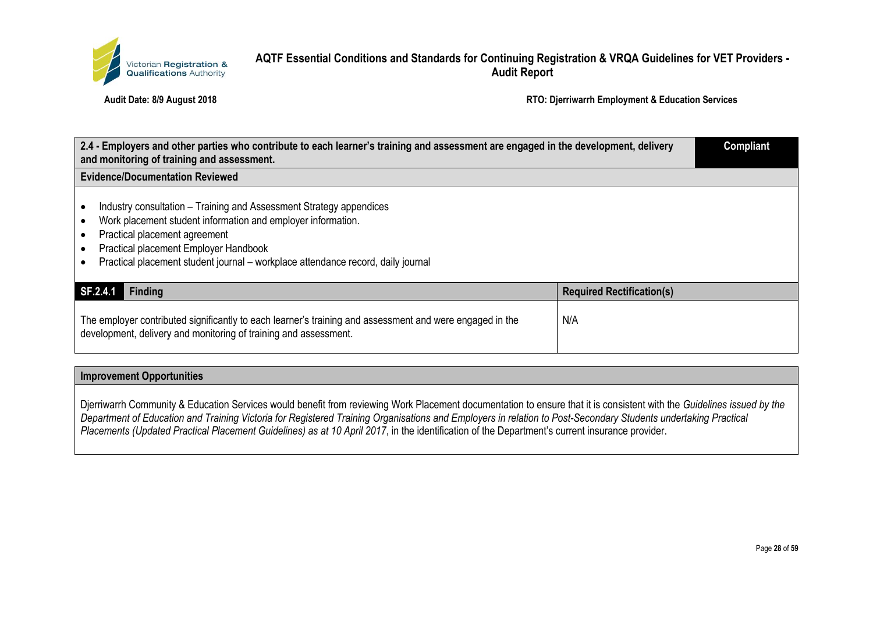

**Audit Date: 8/9 August 2018 RTO: Djerriwarrh Employment & Education Services**

| 2.4 - Employers and other parties who contribute to each learner's training and assessment are engaged in the development, delivery<br>and monitoring of training and assessment.                                                                                                                 |                                  | <b>Compliant</b> |
|---------------------------------------------------------------------------------------------------------------------------------------------------------------------------------------------------------------------------------------------------------------------------------------------------|----------------------------------|------------------|
| <b>Evidence/Documentation Reviewed</b>                                                                                                                                                                                                                                                            |                                  |                  |
| Industry consultation – Training and Assessment Strategy appendices<br>Work placement student information and employer information.<br>Practical placement agreement<br>Practical placement Employer Handbook<br>Practical placement student journal – workplace attendance record, daily journal |                                  |                  |
| SF.2.4.1<br><b>Finding</b>                                                                                                                                                                                                                                                                        | <b>Required Rectification(s)</b> |                  |
| The employer contributed significantly to each learner's training and assessment and were engaged in the<br>development, delivery and monitoring of training and assessment.                                                                                                                      | N/A                              |                  |

#### **Improvement Opportunities**

Djerriwarrh Community & Education Services would benefit from reviewing Work Placement documentation to ensure that it is consistent with the *Guidelines issued by the Department of Education and Training Victoria for Registered Training Organisations and Employers in relation to Post-Secondary Students undertaking Practical Placements (Updated Practical Placement Guidelines) as at 10 April 2017*, in the identification of the Department's current insurance provider.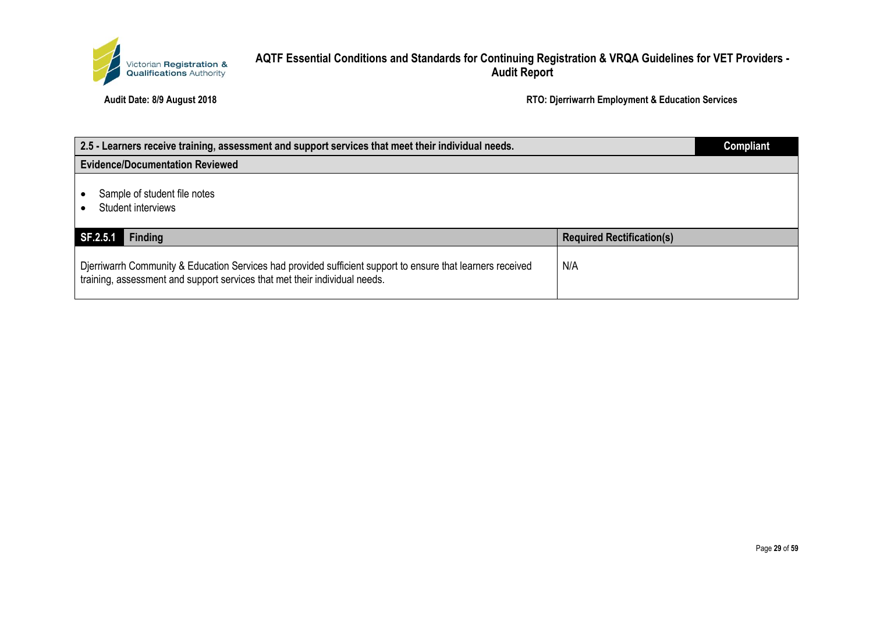

| 2.5 - Learners receive training, assessment and support services that meet their individual needs.                                                                                        |                                  | <b>Compliant</b> |
|-------------------------------------------------------------------------------------------------------------------------------------------------------------------------------------------|----------------------------------|------------------|
| <b>Evidence/Documentation Reviewed</b>                                                                                                                                                    |                                  |                  |
| Sample of student file notes<br>Student interviews                                                                                                                                        |                                  |                  |
| SF.2.5.1<br>Finding                                                                                                                                                                       | <b>Required Rectification(s)</b> |                  |
| Djerriwarrh Community & Education Services had provided sufficient support to ensure that learners received<br>training, assessment and support services that met their individual needs. | N/A                              |                  |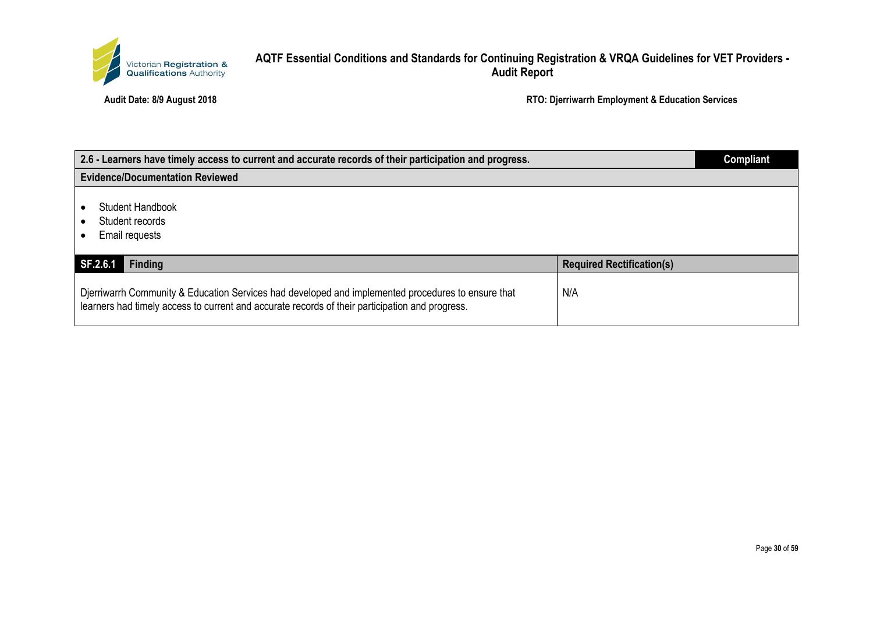

| 2.6 - Learners have timely access to current and accurate records of their participation and progress.                                                                                                |                                  | <b>Compliant</b> |
|-------------------------------------------------------------------------------------------------------------------------------------------------------------------------------------------------------|----------------------------------|------------------|
| <b>Evidence/Documentation Reviewed</b>                                                                                                                                                                |                                  |                  |
| Student Handbook<br>Student records<br>Email requests                                                                                                                                                 |                                  |                  |
| Finding<br>SF.2.6.1                                                                                                                                                                                   | <b>Required Rectification(s)</b> |                  |
| Djerriwarrh Community & Education Services had developed and implemented procedures to ensure that<br>learners had timely access to current and accurate records of their participation and progress. | N/A                              |                  |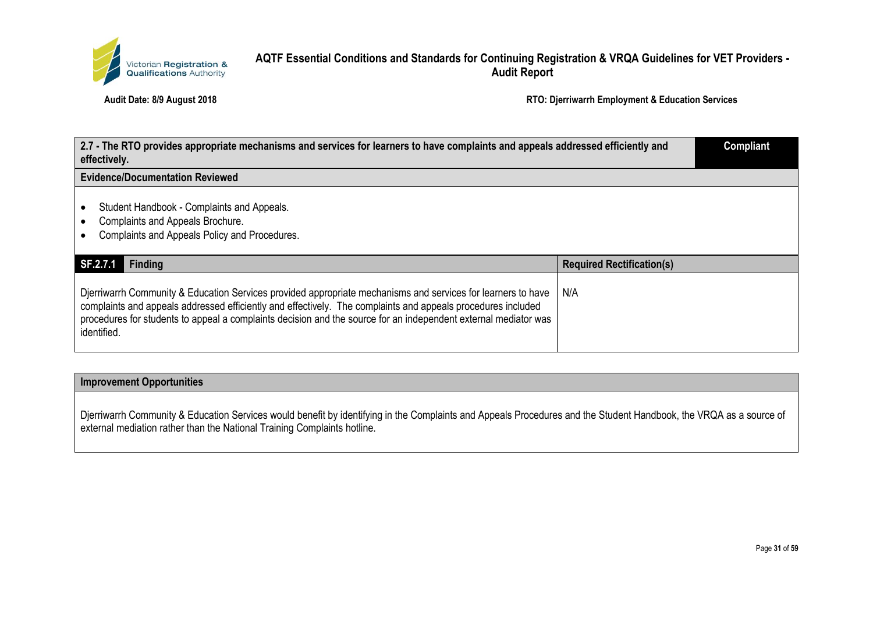

**Audit Date: 8/9 August 2018 RTO: Djerriwarrh Employment & Education Services**

| 2.7 - The RTO provides appropriate mechanisms and services for learners to have complaints and appeals addressed efficiently and<br>effectively.                                                                                                                                                                                                               |                                  | <b>Compliant</b> |
|----------------------------------------------------------------------------------------------------------------------------------------------------------------------------------------------------------------------------------------------------------------------------------------------------------------------------------------------------------------|----------------------------------|------------------|
| <b>Evidence/Documentation Reviewed</b>                                                                                                                                                                                                                                                                                                                         |                                  |                  |
| Student Handbook - Complaints and Appeals.<br><b>Complaints and Appeals Brochure.</b><br>Complaints and Appeals Policy and Procedures.                                                                                                                                                                                                                         |                                  |                  |
| SF.2.7.1<br><b>Finding</b>                                                                                                                                                                                                                                                                                                                                     | <b>Required Rectification(s)</b> |                  |
| Djerriwarrh Community & Education Services provided appropriate mechanisms and services for learners to have<br>complaints and appeals addressed efficiently and effectively. The complaints and appeals procedures included<br>procedures for students to appeal a complaints decision and the source for an independent external mediator was<br>identified. | N/A                              |                  |

#### **Improvement Opportunities**

Djerriwarrh Community & Education Services would benefit by identifying in the Complaints and Appeals Procedures and the Student Handbook, the VRQA as a source of external mediation rather than the National Training Complaints hotline.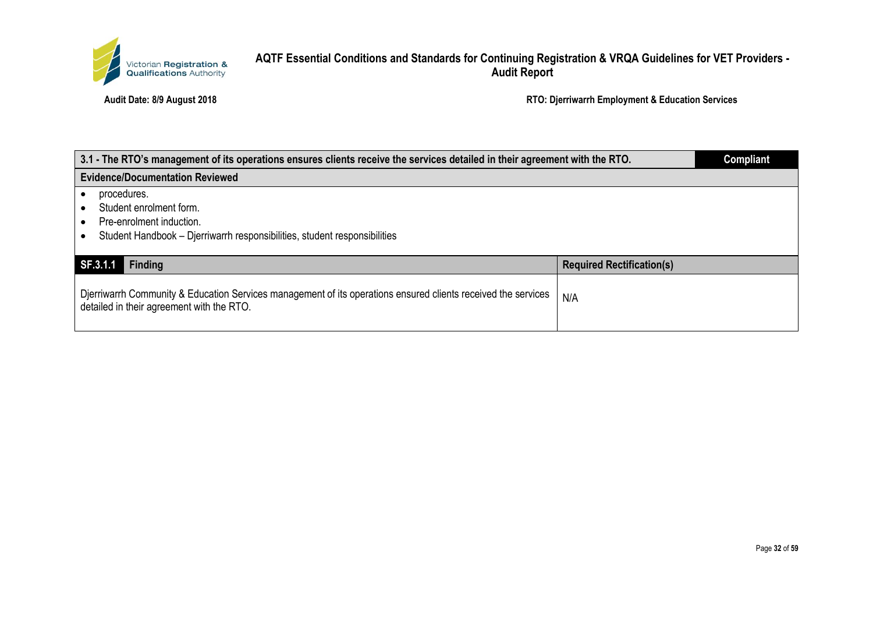

| 3.1 - The RTO's management of its operations ensures clients receive the services detailed in their agreement with the RTO.                                |                                  | <b>Compliant</b> |
|------------------------------------------------------------------------------------------------------------------------------------------------------------|----------------------------------|------------------|
| <b>Evidence/Documentation Reviewed</b>                                                                                                                     |                                  |                  |
| procedures.<br>Student enrolment form.<br>Pre-enrolment induction.<br>Student Handbook – Djerriwarrh responsibilities, student responsibilities            |                                  |                  |
| SF.3.1.1<br>Finding                                                                                                                                        | <b>Required Rectification(s)</b> |                  |
| Djerriwarrh Community & Education Services management of its operations ensured clients received the services<br>detailed in their agreement with the RTO. | N/A                              |                  |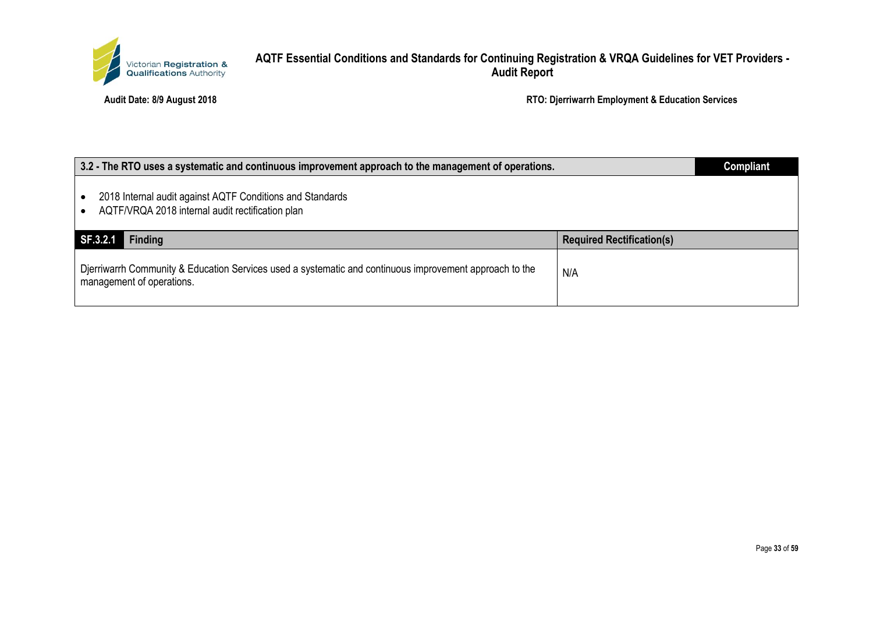

| 3.2 - The RTO uses a systematic and continuous improvement approach to the management of operations.                                 |                                  | <b>Compliant</b> |
|--------------------------------------------------------------------------------------------------------------------------------------|----------------------------------|------------------|
| 2018 Internal audit against AQTF Conditions and Standards<br>AQTF/VRQA 2018 internal audit rectification plan                        |                                  |                  |
| SF.3.2.1<br><b>Finding</b>                                                                                                           | <b>Required Rectification(s)</b> |                  |
| Djerriwarrh Community & Education Services used a systematic and continuous improvement approach to the<br>management of operations. | N/A                              |                  |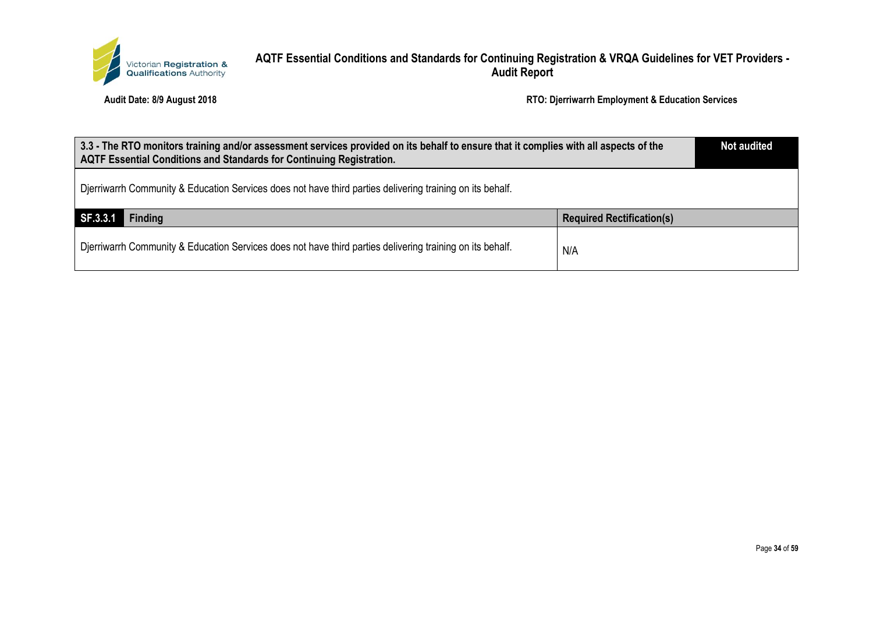

| 3.3 - The RTO monitors training and/or assessment services provided on its behalf to ensure that it complies with all aspects of the<br><b>AQTF Essential Conditions and Standards for Continuing Registration.</b> |                                  | <b>Not audited</b> |
|---------------------------------------------------------------------------------------------------------------------------------------------------------------------------------------------------------------------|----------------------------------|--------------------|
| Dierriwarrh Community & Education Services does not have third parties delivering training on its behalf.                                                                                                           |                                  |                    |
| SF.3.3.1<br><b>Finding</b>                                                                                                                                                                                          | <b>Required Rectification(s)</b> |                    |
| Dierriwarrh Community & Education Services does not have third parties delivering training on its behalf.                                                                                                           | N/A                              |                    |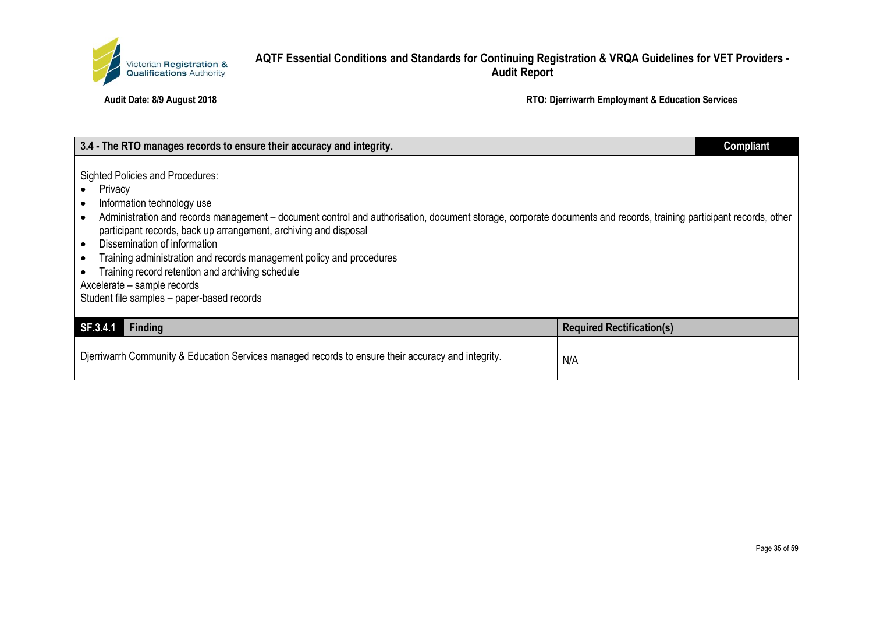

| 3.4 - The RTO manages records to ensure their accuracy and integrity.                                                                                                                                                                                                                                                                                                                                                                                                                                                                                               |                                  | <b>Compliant</b> |
|---------------------------------------------------------------------------------------------------------------------------------------------------------------------------------------------------------------------------------------------------------------------------------------------------------------------------------------------------------------------------------------------------------------------------------------------------------------------------------------------------------------------------------------------------------------------|----------------------------------|------------------|
| <b>Sighted Policies and Procedures:</b><br>Privacy<br>Information technology use<br>Administration and records management – document control and authorisation, document storage, corporate documents and records, training participant records, other<br>participant records, back up arrangement, archiving and disposal<br>Dissemination of information<br>Training administration and records management policy and procedures<br>Training record retention and archiving schedule<br>Axcelerate - sample records<br>Student file samples - paper-based records |                                  |                  |
| SF.3.4.1<br><b>Finding</b>                                                                                                                                                                                                                                                                                                                                                                                                                                                                                                                                          | <b>Required Rectification(s)</b> |                  |
| Djerriwarrh Community & Education Services managed records to ensure their accuracy and integrity.                                                                                                                                                                                                                                                                                                                                                                                                                                                                  | N/A                              |                  |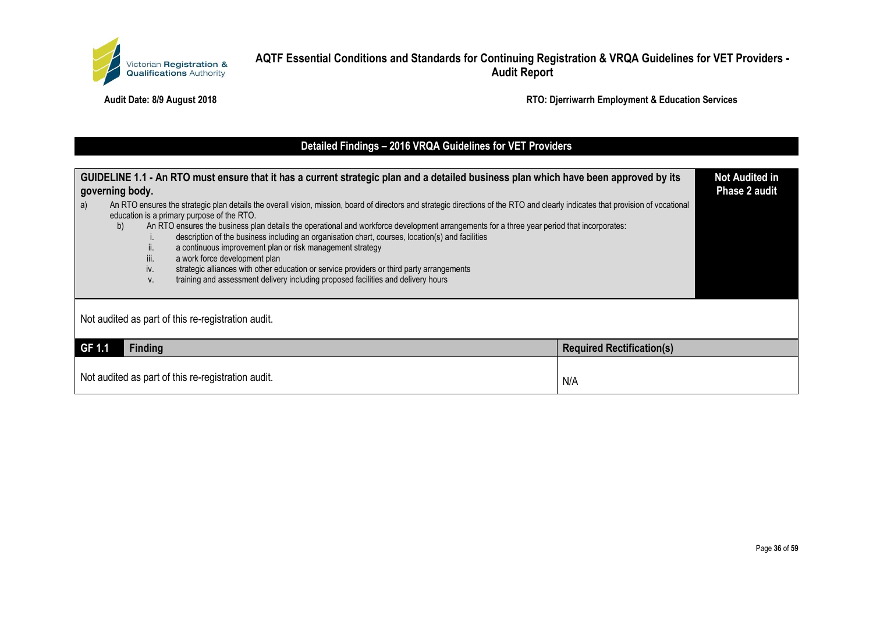

**Audit Date: 8/9 August 2018 RTO: Djerriwarrh Employment & Education Services**

# **Detailed Findings – 2016 VRQA Guidelines for VET Providers**

| GUIDELINE 1.1 - An RTO must ensure that it has a current strategic plan and a detailed business plan which have been approved by its<br>governing body.<br>An RTO ensures the strategic plan details the overall vision, mission, board of directors and strategic directions of the RTO and clearly indicates that provision of vocational<br>a)<br>education is a primary purpose of the RTO.<br>An RTO ensures the business plan details the operational and workforce development arrangements for a three year period that incorporates:<br>b) |                                  |  |
|-----------------------------------------------------------------------------------------------------------------------------------------------------------------------------------------------------------------------------------------------------------------------------------------------------------------------------------------------------------------------------------------------------------------------------------------------------------------------------------------------------------------------------------------------------|----------------------------------|--|
| description of the business including an organisation chart, courses, location(s) and facilities<br>a continuous improvement plan or risk management strategy<br>н.<br>iii.<br>a work force development plan<br>strategic alliances with other education or service providers or third party arrangements<br>iv.<br>training and assessment delivery including proposed facilities and delivery hours<br>V.                                                                                                                                         |                                  |  |
| Not audited as part of this re-registration audit.                                                                                                                                                                                                                                                                                                                                                                                                                                                                                                  |                                  |  |
| GF 1.1<br><b>Finding</b>                                                                                                                                                                                                                                                                                                                                                                                                                                                                                                                            | <b>Required Rectification(s)</b> |  |
| Not audited as part of this re-registration audit.<br>N/A                                                                                                                                                                                                                                                                                                                                                                                                                                                                                           |                                  |  |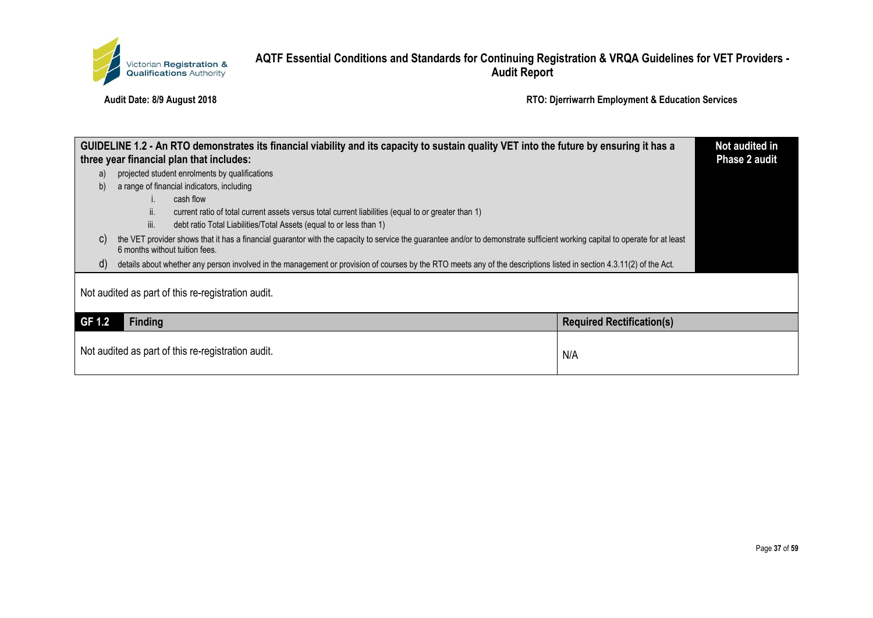

| GUIDELINE 1.2 - An RTO demonstrates its financial viability and its capacity to sustain quality VET into the future by ensuring it has a<br>three year financial plan that includes:                                 |                                                                                                                                                                      | Not audited in<br><b>Phase 2 audit</b> |  |
|----------------------------------------------------------------------------------------------------------------------------------------------------------------------------------------------------------------------|----------------------------------------------------------------------------------------------------------------------------------------------------------------------|----------------------------------------|--|
| a)                                                                                                                                                                                                                   | projected student enrolments by qualifications                                                                                                                       |                                        |  |
| b)                                                                                                                                                                                                                   | a range of financial indicators, including                                                                                                                           |                                        |  |
|                                                                                                                                                                                                                      | cash flow                                                                                                                                                            |                                        |  |
|                                                                                                                                                                                                                      | current ratio of total current assets versus total current liabilities (equal to or greater than 1)<br>ΙΙ.                                                           |                                        |  |
|                                                                                                                                                                                                                      | iii.<br>debt ratio Total Liabilities/Total Assets (equal to or less than 1)                                                                                          |                                        |  |
| the VET provider shows that it has a financial guarantor with the capacity to service the guarantee and/or to demonstrate sufficient working capital to operate for at least<br>C)<br>6 months without tuition fees. |                                                                                                                                                                      |                                        |  |
| $\mathsf{d}$                                                                                                                                                                                                         | details about whether any person involved in the management or provision of courses by the RTO meets any of the descriptions listed in section 4.3.11(2) of the Act. |                                        |  |
| Not audited as part of this re-registration audit.                                                                                                                                                                   |                                                                                                                                                                      |                                        |  |
| GF 1.2                                                                                                                                                                                                               | <b>Finding</b>                                                                                                                                                       | <b>Required Rectification(s)</b>       |  |
|                                                                                                                                                                                                                      | Not audited as part of this re-registration audit.                                                                                                                   | N/A                                    |  |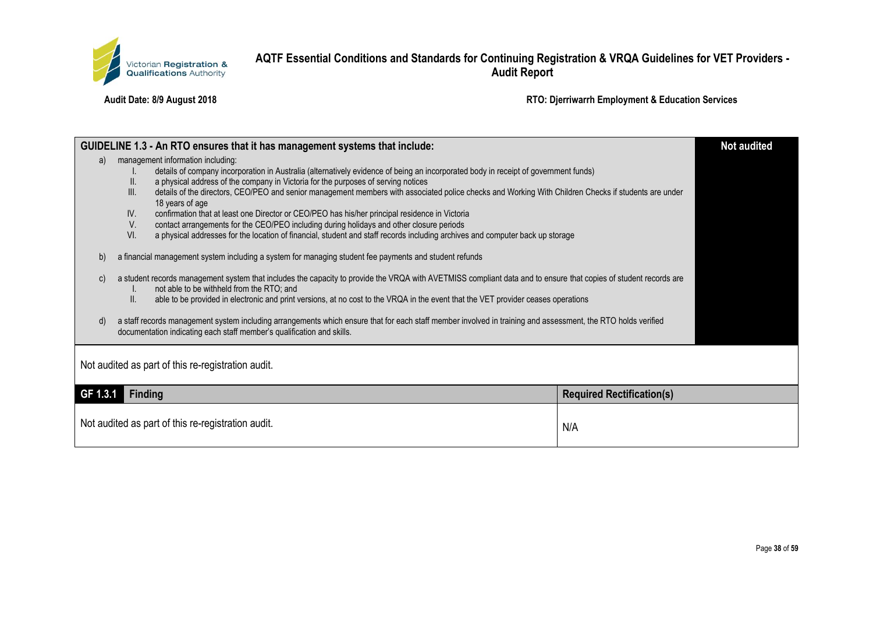

|                                                                                                                                                                                                                                                                                                                                                                                                                                                                                                                                                                                                                                                                                                                                                                                                                                                                                                                                                                                                                                                                                                                                                                                                                                                                                                                                                                                                                                                                                 |                | GUIDELINE 1.3 - An RTO ensures that it has management systems that include: |                                  | <b>Not audited</b> |
|---------------------------------------------------------------------------------------------------------------------------------------------------------------------------------------------------------------------------------------------------------------------------------------------------------------------------------------------------------------------------------------------------------------------------------------------------------------------------------------------------------------------------------------------------------------------------------------------------------------------------------------------------------------------------------------------------------------------------------------------------------------------------------------------------------------------------------------------------------------------------------------------------------------------------------------------------------------------------------------------------------------------------------------------------------------------------------------------------------------------------------------------------------------------------------------------------------------------------------------------------------------------------------------------------------------------------------------------------------------------------------------------------------------------------------------------------------------------------------|----------------|-----------------------------------------------------------------------------|----------------------------------|--------------------|
| management information including:<br>a)<br>details of company incorporation in Australia (alternatively evidence of being an incorporated body in receipt of government funds)<br>a physical address of the company in Victoria for the purposes of serving notices<br>II.<br>details of the directors, CEO/PEO and senior management members with associated police checks and Working With Children Checks if students are under<br>III.<br>18 years of age<br>confirmation that at least one Director or CEO/PEO has his/her principal residence in Victoria<br>IV.<br>V.<br>contact arrangements for the CEO/PEO including during holidays and other closure periods<br>VI.<br>a physical addresses for the location of financial, student and staff records including archives and computer back up storage<br>a financial management system including a system for managing student fee payments and student refunds<br>b)<br>a student records management system that includes the capacity to provide the VRQA with AVETMISS compliant data and to ensure that copies of student records are<br>C)<br>not able to be withheld from the RTO; and<br>I.<br>II.<br>able to be provided in electronic and print versions, at no cost to the VRQA in the event that the VET provider ceases operations<br>a staff records management system including arrangements which ensure that for each staff member involved in training and assessment, the RTO holds verified<br>d) |                |                                                                             |                                  |                    |
| documentation indicating each staff member's qualification and skills.<br>Not audited as part of this re-registration audit.                                                                                                                                                                                                                                                                                                                                                                                                                                                                                                                                                                                                                                                                                                                                                                                                                                                                                                                                                                                                                                                                                                                                                                                                                                                                                                                                                    |                |                                                                             |                                  |                    |
| GF 1.3.1                                                                                                                                                                                                                                                                                                                                                                                                                                                                                                                                                                                                                                                                                                                                                                                                                                                                                                                                                                                                                                                                                                                                                                                                                                                                                                                                                                                                                                                                        | <b>Finding</b> |                                                                             | <b>Required Rectification(s)</b> |                    |
|                                                                                                                                                                                                                                                                                                                                                                                                                                                                                                                                                                                                                                                                                                                                                                                                                                                                                                                                                                                                                                                                                                                                                                                                                                                                                                                                                                                                                                                                                 |                | Not audited as part of this re-registration audit.                          | N/A                              |                    |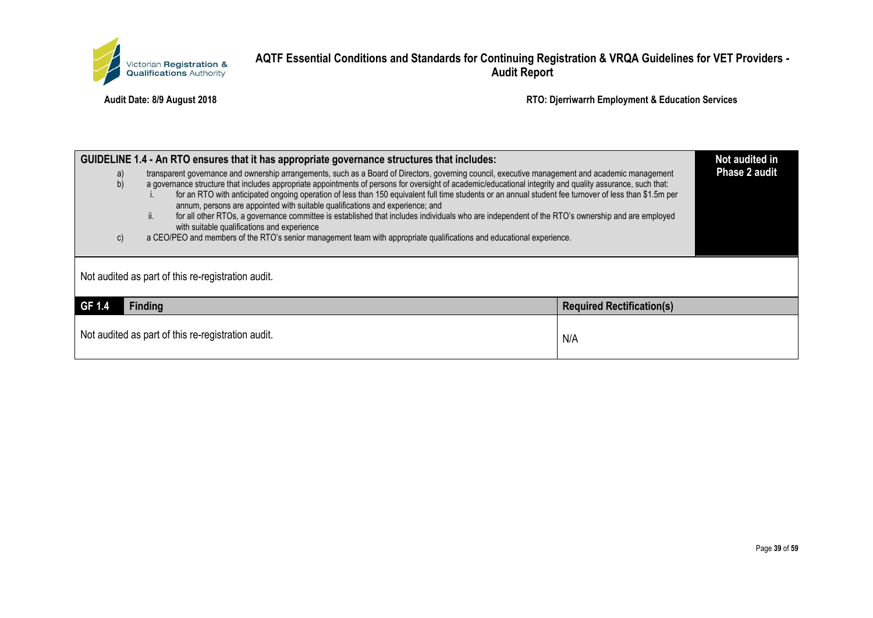

| GUIDELINE 1.4 - An RTO ensures that it has appropriate governance structures that includes:<br>transparent governance and ownership arrangements, such as a Board of Directors, governing council, executive management and academic management<br>a)<br>b)<br>a governance structure that includes appropriate appointments of persons for oversight of academic/educational integrity and quality assurance, such that:<br>for an RTO with anticipated ongoing operation of less than 150 equivalent full time students or an annual student fee turnover of less than \$1.5m per<br>annum, persons are appointed with suitable qualifications and experience; and<br>ii.<br>for all other RTOs, a governance committee is established that includes individuals who are independent of the RTO's ownership and are employed<br>with suitable qualifications and experience<br>a CEO/PEO and members of the RTO's senior management team with appropriate qualifications and educational experience.<br>c) |                                  |  |  |
|--------------------------------------------------------------------------------------------------------------------------------------------------------------------------------------------------------------------------------------------------------------------------------------------------------------------------------------------------------------------------------------------------------------------------------------------------------------------------------------------------------------------------------------------------------------------------------------------------------------------------------------------------------------------------------------------------------------------------------------------------------------------------------------------------------------------------------------------------------------------------------------------------------------------------------------------------------------------------------------------------------------|----------------------------------|--|--|
| Not audited as part of this re-registration audit.                                                                                                                                                                                                                                                                                                                                                                                                                                                                                                                                                                                                                                                                                                                                                                                                                                                                                                                                                           |                                  |  |  |
| GF 1.4<br><b>Finding</b>                                                                                                                                                                                                                                                                                                                                                                                                                                                                                                                                                                                                                                                                                                                                                                                                                                                                                                                                                                                     | <b>Required Rectification(s)</b> |  |  |
| Not audited as part of this re-registration audit.                                                                                                                                                                                                                                                                                                                                                                                                                                                                                                                                                                                                                                                                                                                                                                                                                                                                                                                                                           | N/A                              |  |  |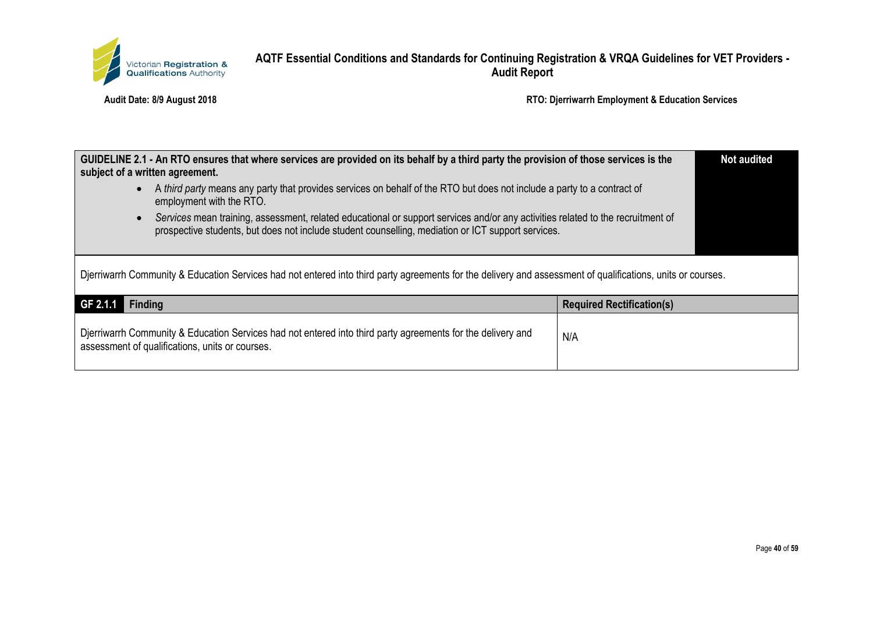

| subject of a written agreement.                                                                                                                                                                                                       | GUIDELINE 2.1 - An RTO ensures that where services are provided on its behalf by a third party the provision of those services is the |                                  | <b>Not audited</b> |
|---------------------------------------------------------------------------------------------------------------------------------------------------------------------------------------------------------------------------------------|---------------------------------------------------------------------------------------------------------------------------------------|----------------------------------|--------------------|
| employment with the RTO.                                                                                                                                                                                                              | A third party means any party that provides services on behalf of the RTO but does not include a party to a contract of               |                                  |                    |
| Services mean training, assessment, related educational or support services and/or any activities related to the recruitment of<br>prospective students, but does not include student counselling, mediation or ICT support services. |                                                                                                                                       |                                  |                    |
| Djerriwarrh Community & Education Services had not entered into third party agreements for the delivery and assessment of qualifications, units or courses.                                                                           |                                                                                                                                       |                                  |                    |
| GF 2.1.1<br><b>Finding</b>                                                                                                                                                                                                            |                                                                                                                                       | <b>Required Rectification(s)</b> |                    |
| assessment of qualifications, units or courses.                                                                                                                                                                                       | Djerriwarrh Community & Education Services had not entered into third party agreements for the delivery and                           | N/A                              |                    |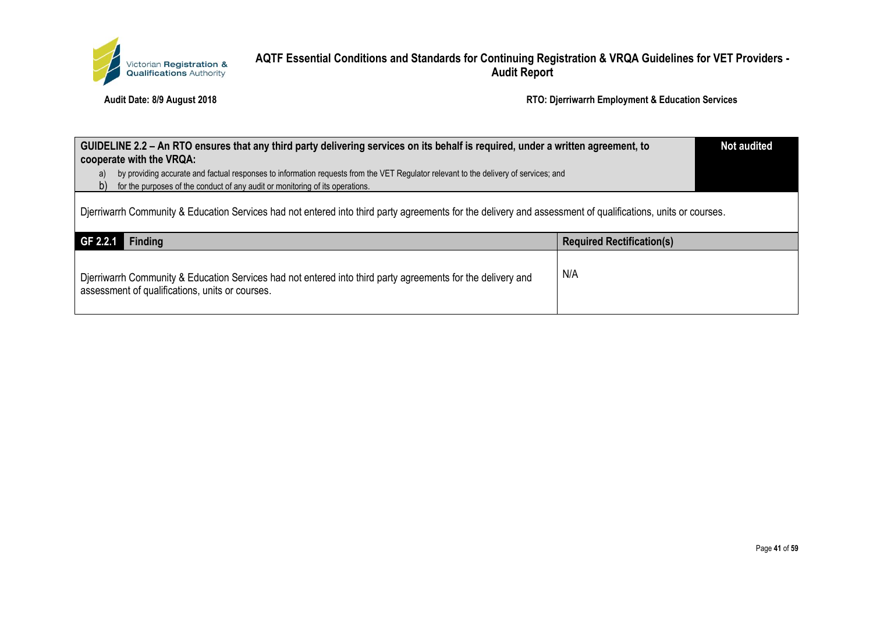

| GUIDELINE 2.2 – An RTO ensures that any third party delivering services on its behalf is required, under a written agreement, to<br>cooperate with the VRQA:   |     | <b>Not audited</b> |
|----------------------------------------------------------------------------------------------------------------------------------------------------------------|-----|--------------------|
| by providing accurate and factual responses to information requests from the VET Regulator relevant to the delivery of services; and<br>a)                     |     |                    |
| for the purposes of the conduct of any audit or monitoring of its operations.<br>b)                                                                            |     |                    |
| Dierriwarrh Community & Education Services had not entered into third party agreements for the delivery and assessment of qualifications, units or courses.    |     |                    |
| GF 2.2.1<br><b>Finding</b><br><b>Required Rectification(s)</b>                                                                                                 |     |                    |
| Djerriwarrh Community & Education Services had not entered into third party agreements for the delivery and<br>assessment of qualifications, units or courses. | N/A |                    |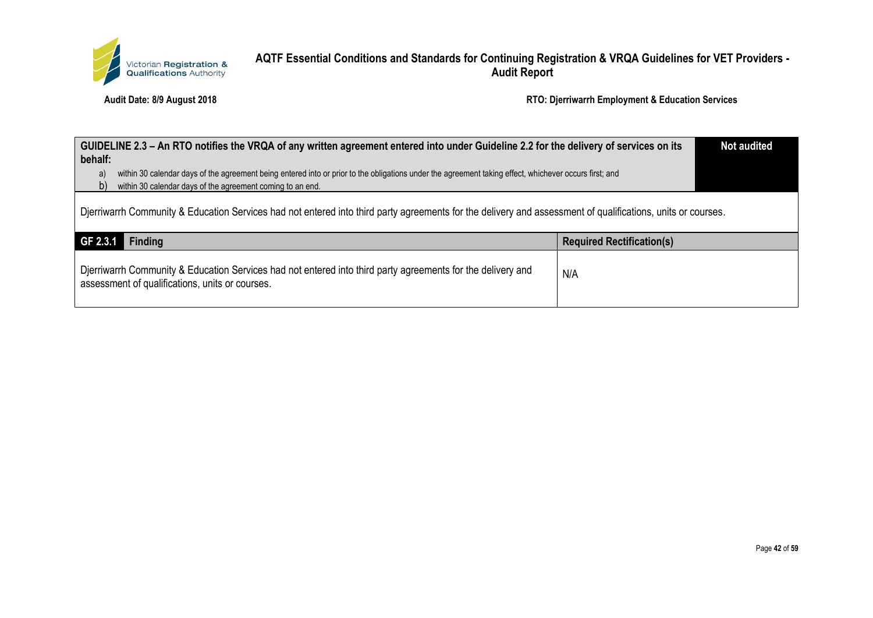

| GUIDELINE 2.3 – An RTO notifies the VRQA of any written agreement entered into under Guideline 2.2 for the delivery of services on its<br>behalf:                                                                                          |                                  |  |  |
|--------------------------------------------------------------------------------------------------------------------------------------------------------------------------------------------------------------------------------------------|----------------------------------|--|--|
| within 30 calendar days of the agreement being entered into or prior to the obligations under the agreement taking effect, whichever occurs first; and<br>a)<br>within 30 calendar days of the agreement coming to an end.<br>$\mathsf{b}$ |                                  |  |  |
| Djerriwarrh Community & Education Services had not entered into third party agreements for the delivery and assessment of qualifications, units or courses.                                                                                |                                  |  |  |
|                                                                                                                                                                                                                                            |                                  |  |  |
| GF 2.3.1<br><b>Finding</b>                                                                                                                                                                                                                 | <b>Required Rectification(s)</b> |  |  |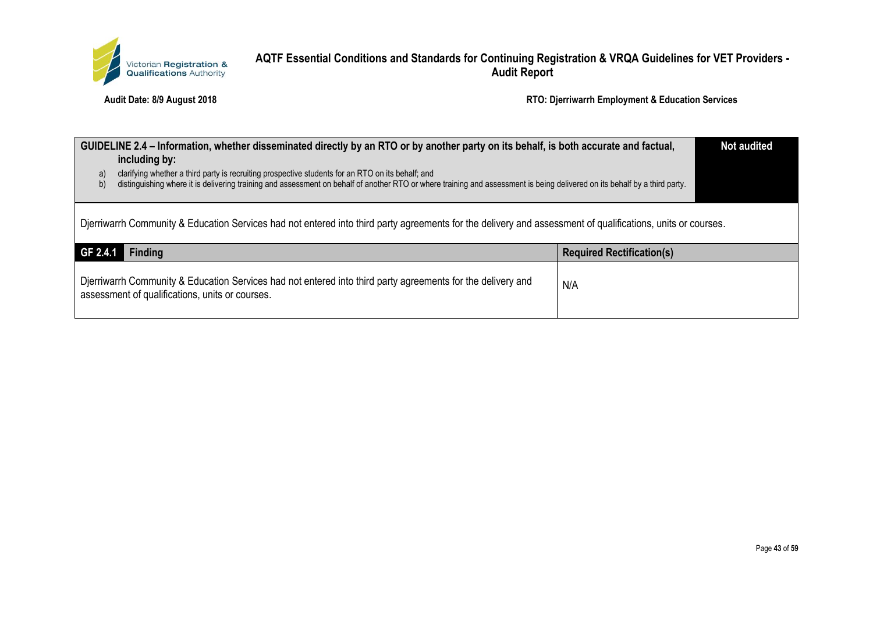

| GUIDELINE 2.4 – Information, whether disseminated directly by an RTO or by another party on its behalf, is both accurate and factual,<br>including by:<br>clarifying whether a third party is recruiting prospective students for an RTO on its behalf; and<br>a)<br>distinguishing where it is delivering training and assessment on behalf of another RTO or where training and assessment is being delivered on its behalf by a third party.<br>b) |                                  | <b>Not audited</b> |
|-------------------------------------------------------------------------------------------------------------------------------------------------------------------------------------------------------------------------------------------------------------------------------------------------------------------------------------------------------------------------------------------------------------------------------------------------------|----------------------------------|--------------------|
| Djerriwarrh Community & Education Services had not entered into third party agreements for the delivery and assessment of qualifications, units or courses.                                                                                                                                                                                                                                                                                           |                                  |                    |
| <b>Finding</b><br>GF 2.4.1                                                                                                                                                                                                                                                                                                                                                                                                                            | <b>Required Rectification(s)</b> |                    |
| Djerriwarrh Community & Education Services had not entered into third party agreements for the delivery and<br>assessment of qualifications, units or courses.                                                                                                                                                                                                                                                                                        | N/A                              |                    |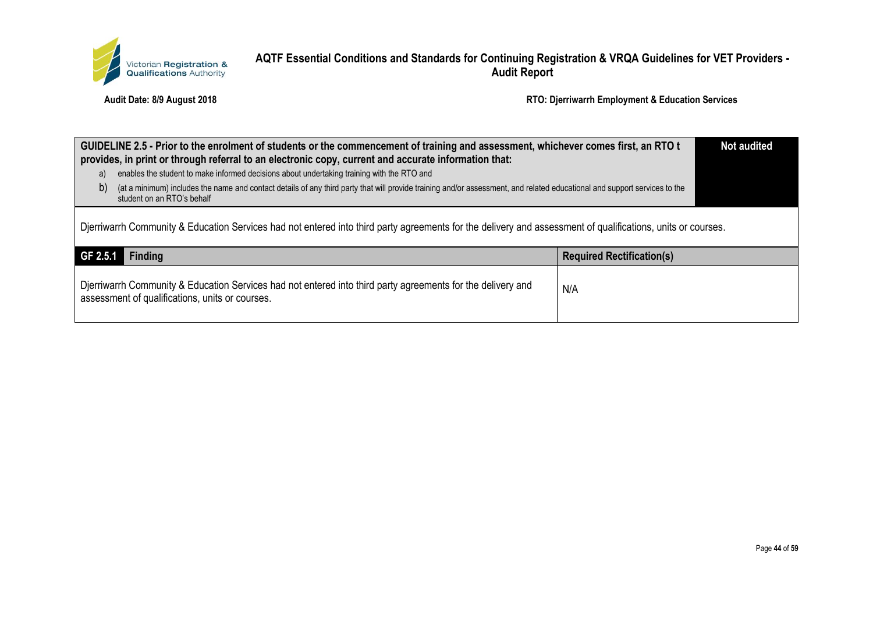

| GUIDELINE 2.5 - Prior to the enrolment of students or the commencement of training and assessment, whichever comes first, an RTO t<br>provides, in print or through referral to an electronic copy, current and accurate information that: |     | <b>Not audited</b> |
|--------------------------------------------------------------------------------------------------------------------------------------------------------------------------------------------------------------------------------------------|-----|--------------------|
| enables the student to make informed decisions about undertaking training with the RTO and<br>a)                                                                                                                                           |     |                    |
| (at a minimum) includes the name and contact details of any third party that will provide training and/or assessment, and related educational and support services to the<br>b)<br>student on an RTO's behalf                              |     |                    |
| Djerriwarrh Community & Education Services had not entered into third party agreements for the delivery and assessment of qualifications, units or courses.                                                                                |     |                    |
| GF 2.5.1<br><b>Finding</b><br><b>Required Rectification(s)</b>                                                                                                                                                                             |     |                    |
| Djerriwarrh Community & Education Services had not entered into third party agreements for the delivery and<br>assessment of qualifications, units or courses.                                                                             | N/A |                    |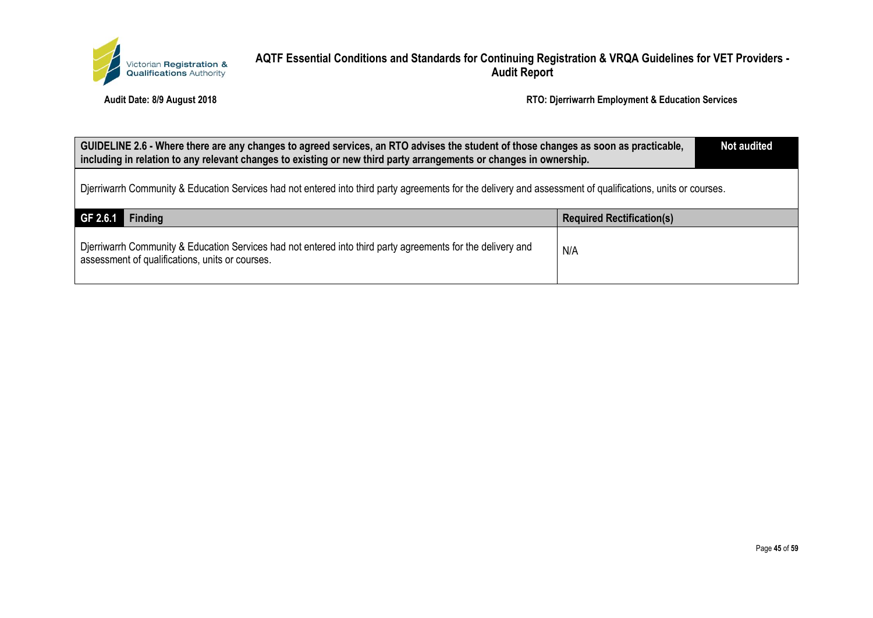

| GUIDELINE 2.6 - Where there are any changes to agreed services, an RTO advises the student of those changes as soon as practicable,<br>including in relation to any relevant changes to existing or new third party arrangements or changes in ownership. |     |  |  |
|-----------------------------------------------------------------------------------------------------------------------------------------------------------------------------------------------------------------------------------------------------------|-----|--|--|
| Dierriwarrh Community & Education Services had not entered into third party agreements for the delivery and assessment of qualifications, units or courses.                                                                                               |     |  |  |
| GF 2.6.1<br>Finding<br><b>Required Rectification(s)</b>                                                                                                                                                                                                   |     |  |  |
| Djerriwarrh Community & Education Services had not entered into third party agreements for the delivery and<br>assessment of qualifications, units or courses.                                                                                            | N/A |  |  |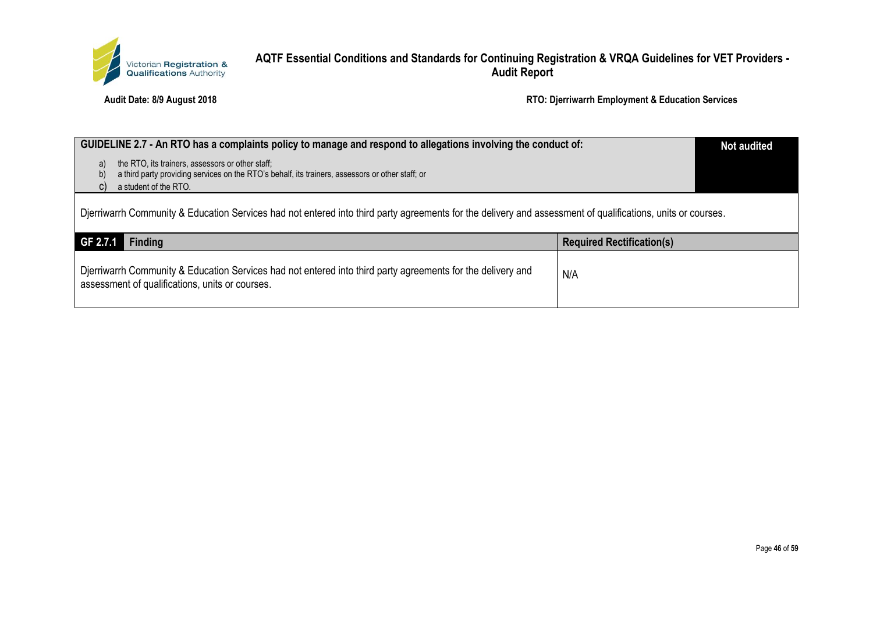

| GUIDELINE 2.7 - An RTO has a complaints policy to manage and respond to allegations involving the conduct of:                                                                                   |                                  | <b>Not audited</b> |
|-------------------------------------------------------------------------------------------------------------------------------------------------------------------------------------------------|----------------------------------|--------------------|
| the RTO, its trainers, assessors or other staff;<br>a)<br>a third party providing services on the RTO's behalf, its trainers, assessors or other staff; or<br>b)<br>a student of the RTO.<br>C) |                                  |                    |
| Djerriwarrh Community & Education Services had not entered into third party agreements for the delivery and assessment of qualifications, units or courses.                                     |                                  |                    |
| GF 2.7.1<br><b>Finding</b>                                                                                                                                                                      | <b>Required Rectification(s)</b> |                    |
| Djerriwarrh Community & Education Services had not entered into third party agreements for the delivery and<br>assessment of qualifications, units or courses.                                  | N/A                              |                    |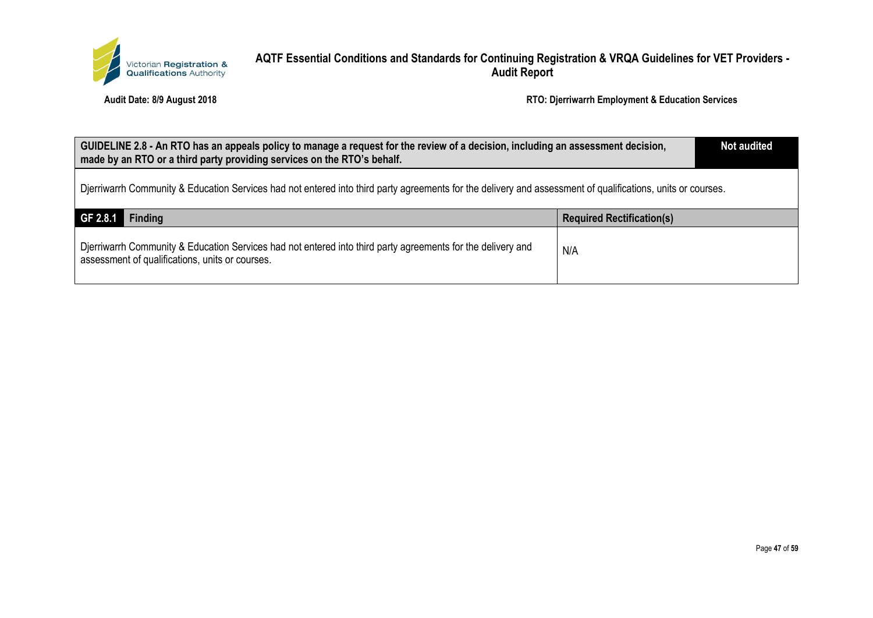

| GUIDELINE 2.8 - An RTO has an appeals policy to manage a request for the review of a decision, including an assessment decision,<br>made by an RTO or a third party providing services on the RTO's behalf. |                                  | <b>Not audited</b> |
|-------------------------------------------------------------------------------------------------------------------------------------------------------------------------------------------------------------|----------------------------------|--------------------|
| Djerriwarrh Community & Education Services had not entered into third party agreements for the delivery and assessment of qualifications, units or courses.                                                 |                                  |                    |
| GF 2.8.1<br><b>Finding</b>                                                                                                                                                                                  | <b>Required Rectification(s)</b> |                    |
| Djerriwarrh Community & Education Services had not entered into third party agreements for the delivery and<br>assessment of qualifications, units or courses.                                              | N/A                              |                    |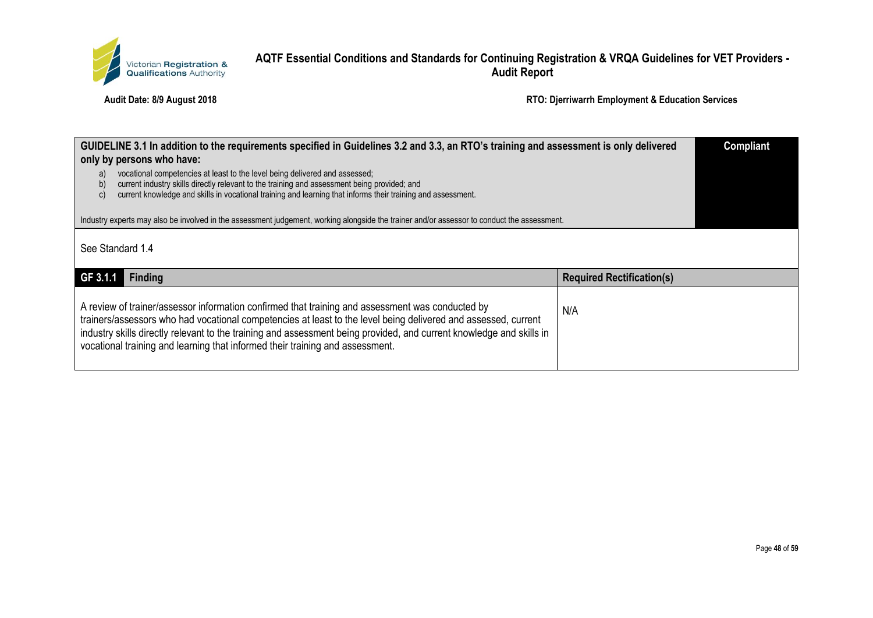

| GUIDELINE 3.1 In addition to the requirements specified in Guidelines 3.2 and 3.3, an RTO's training and assessment is only delivered<br>only by persons who have:                                                                                                                                            |                                  | <b>Compliant</b> |
|---------------------------------------------------------------------------------------------------------------------------------------------------------------------------------------------------------------------------------------------------------------------------------------------------------------|----------------------------------|------------------|
| vocational competencies at least to the level being delivered and assessed;<br>a)<br>current industry skills directly relevant to the training and assessment being provided; and<br>b)<br>current knowledge and skills in vocational training and learning that informs their training and assessment.<br>C) |                                  |                  |
| Industry experts may also be involved in the assessment judgement, working alongside the trainer and/or assessor to conduct the assessment.                                                                                                                                                                   |                                  |                  |
| See Standard 1.4                                                                                                                                                                                                                                                                                              |                                  |                  |
| GF 3.1.1<br><b>Finding</b>                                                                                                                                                                                                                                                                                    | <b>Required Rectification(s)</b> |                  |
|                                                                                                                                                                                                                                                                                                               |                                  |                  |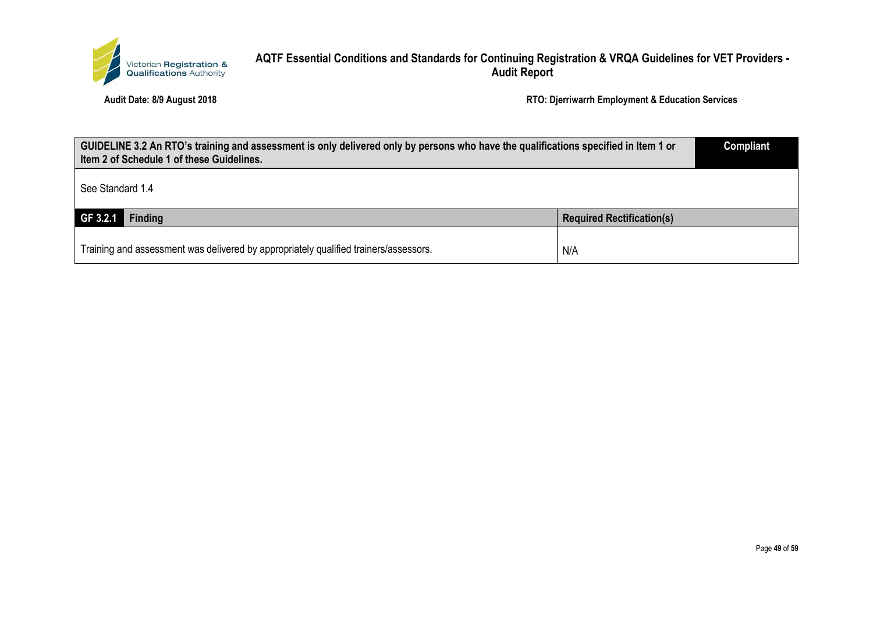

| GUIDELINE 3.2 An RTO's training and assessment is only delivered only by persons who have the qualifications specified in Item 1 or<br>Item 2 of Schedule 1 of these Guidelines. |                                  | <b>Compliant</b> |
|----------------------------------------------------------------------------------------------------------------------------------------------------------------------------------|----------------------------------|------------------|
| See Standard 1.4                                                                                                                                                                 |                                  |                  |
| $GF 3.2.1$ Finding                                                                                                                                                               | <b>Required Rectification(s)</b> |                  |
| Training and assessment was delivered by appropriately qualified trainers/assessors.                                                                                             | N/A                              |                  |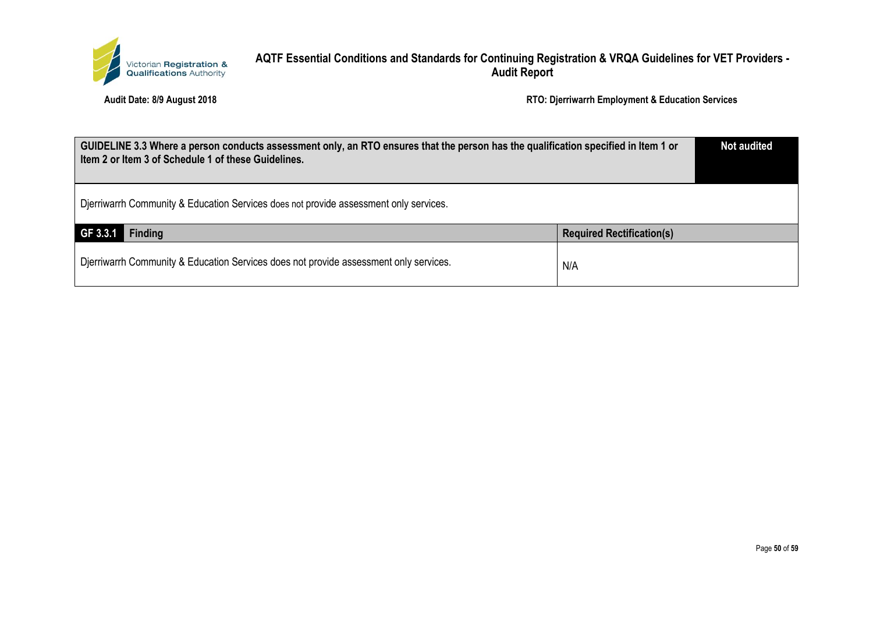

| GUIDELINE 3.3 Where a person conducts assessment only, an RTO ensures that the person has the qualification specified in Item 1 or<br>Item 2 or Item 3 of Schedule 1 of these Guidelines. |                                  | <b>Not audited</b> |
|-------------------------------------------------------------------------------------------------------------------------------------------------------------------------------------------|----------------------------------|--------------------|
| Djerriwarrh Community & Education Services does not provide assessment only services.                                                                                                     |                                  |                    |
| GF 3.3.1<br>Finding                                                                                                                                                                       | <b>Required Rectification(s)</b> |                    |
| Djerriwarrh Community & Education Services does not provide assessment only services.                                                                                                     | N/A                              |                    |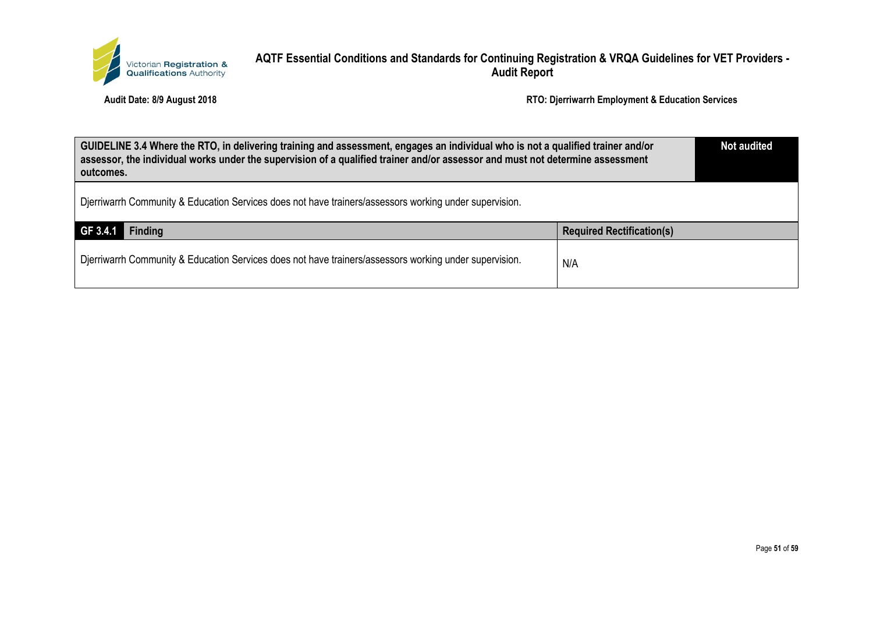

| GUIDELINE 3.4 Where the RTO, in delivering training and assessment, engages an individual who is not a qualified trainer and/or<br>assessor, the individual works under the supervision of a qualified trainer and/or assessor and must not determine assessment<br>outcomes. |                                  | <b>Not audited</b> |
|-------------------------------------------------------------------------------------------------------------------------------------------------------------------------------------------------------------------------------------------------------------------------------|----------------------------------|--------------------|
| Dierriwarrh Community & Education Services does not have trainers/assessors working under supervision.                                                                                                                                                                        |                                  |                    |
| GF 3.4.1<br><b>Finding</b>                                                                                                                                                                                                                                                    | <b>Required Rectification(s)</b> |                    |
| Dierriwarrh Community & Education Services does not have trainers/assessors working under supervision.                                                                                                                                                                        | N/A                              |                    |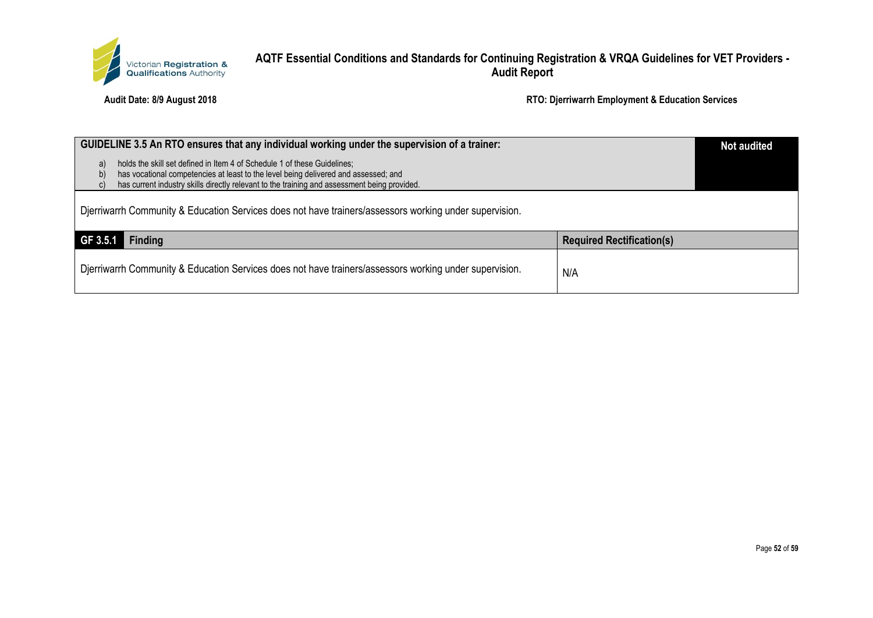

| GUIDELINE 3.5 An RTO ensures that any individual working under the supervision of a trainer:                                                                                |                                  | <b>Not audited</b> |
|-----------------------------------------------------------------------------------------------------------------------------------------------------------------------------|----------------------------------|--------------------|
| holds the skill set defined in Item 4 of Schedule 1 of these Guidelines;<br>a)<br>has vocational competencies at least to the level being delivered and assessed; and<br>b) |                                  |                    |
| has current industry skills directly relevant to the training and assessment being provided.                                                                                |                                  |                    |
| Djerriwarrh Community & Education Services does not have trainers/assessors working under supervision.                                                                      |                                  |                    |
| GF 3.5.1<br><b>Finding</b>                                                                                                                                                  | <b>Required Rectification(s)</b> |                    |
| Djerriwarrh Community & Education Services does not have trainers/assessors working under supervision.                                                                      | N/A                              |                    |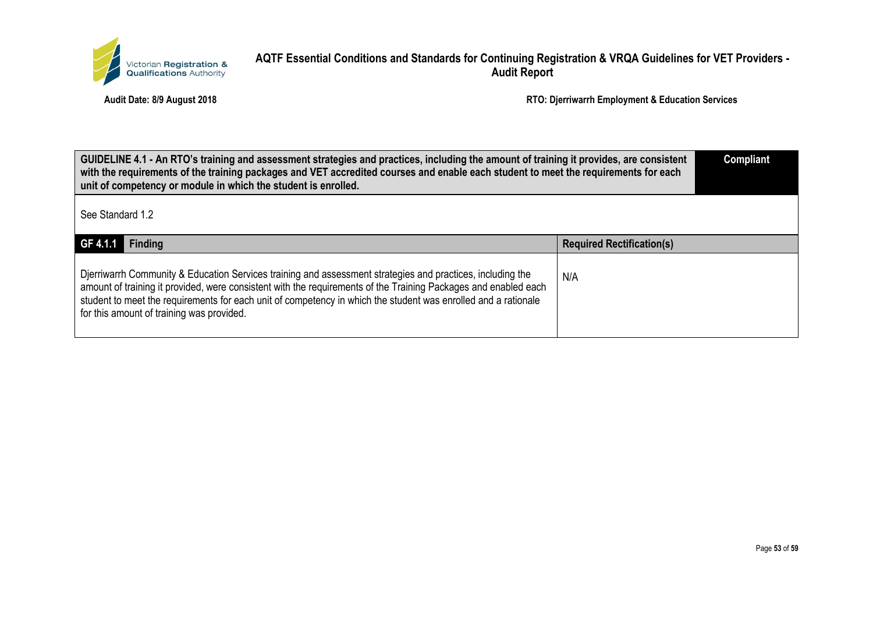

| GUIDELINE 4.1 - An RTO's training and assessment strategies and practices, including the amount of training it provides, are consistent<br>with the requirements of the training packages and VET accredited courses and enable each student to meet the requirements for each<br>unit of competency or module in which the student is enrolled.                                             |                                  | <b>Compliant</b> |
|----------------------------------------------------------------------------------------------------------------------------------------------------------------------------------------------------------------------------------------------------------------------------------------------------------------------------------------------------------------------------------------------|----------------------------------|------------------|
| See Standard 1.2                                                                                                                                                                                                                                                                                                                                                                             |                                  |                  |
| GF 4.1.1<br><b>Finding</b>                                                                                                                                                                                                                                                                                                                                                                   | <b>Required Rectification(s)</b> |                  |
| Dierriwarrh Community & Education Services training and assessment strategies and practices, including the<br>amount of training it provided, were consistent with the requirements of the Training Packages and enabled each<br>student to meet the requirements for each unit of competency in which the student was enrolled and a rationale<br>for this amount of training was provided. | N/A                              |                  |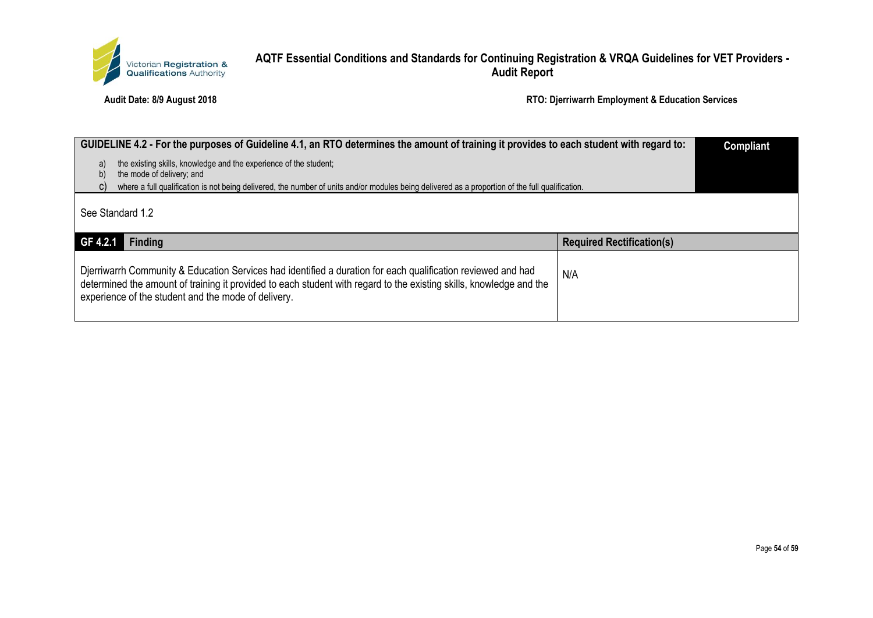

| GUIDELINE 4.2 - For the purposes of Guideline 4.1, an RTO determines the amount of training it provides to each student with regard to:                |                                  | <b>Compliant</b> |
|--------------------------------------------------------------------------------------------------------------------------------------------------------|----------------------------------|------------------|
| the existing skills, knowledge and the experience of the student;<br>a)<br>the mode of delivery; and<br>b)                                             |                                  |                  |
| where a full qualification is not being delivered, the number of units and/or modules being delivered as a proportion of the full qualification.<br>C) |                                  |                  |
| See Standard 1.2                                                                                                                                       |                                  |                  |
| GF 4.2.1<br><b>Finding</b>                                                                                                                             | <b>Required Rectification(s)</b> |                  |
| Dierriwarrh Community & Education Services had identified a duration for each qualification reviewed and had                                           | N/A                              |                  |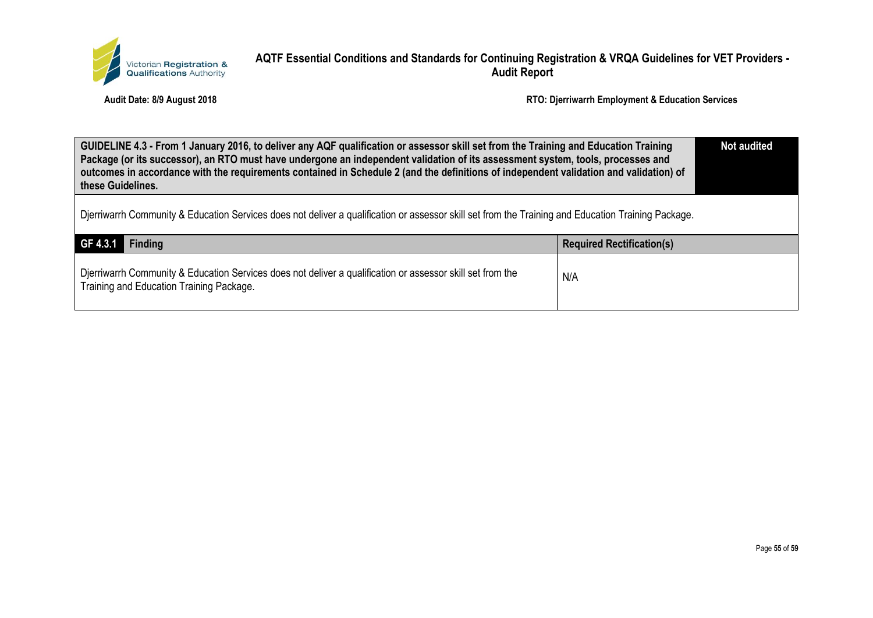

| GUIDELINE 4.3 - From 1 January 2016, to deliver any AQF qualification or assessor skill set from the Training and Education Training<br>Package (or its successor), an RTO must have undergone an independent validation of its assessment system, tools, processes and<br>outcomes in accordance with the requirements contained in Schedule 2 (and the definitions of independent validation and validation) of<br>these Guidelines. |                                  | <b>Not audited</b> |
|----------------------------------------------------------------------------------------------------------------------------------------------------------------------------------------------------------------------------------------------------------------------------------------------------------------------------------------------------------------------------------------------------------------------------------------|----------------------------------|--------------------|
| Dierriwarrh Community & Education Services does not deliver a qualification or assessor skill set from the Training and Education Training Package.                                                                                                                                                                                                                                                                                    |                                  |                    |
| GF 4.3.1<br><b>Finding</b>                                                                                                                                                                                                                                                                                                                                                                                                             | <b>Required Rectification(s)</b> |                    |
| Dierriwarrh Community & Education Services does not deliver a qualification or assessor skill set from the<br>Training and Education Training Package.                                                                                                                                                                                                                                                                                 | N/A                              |                    |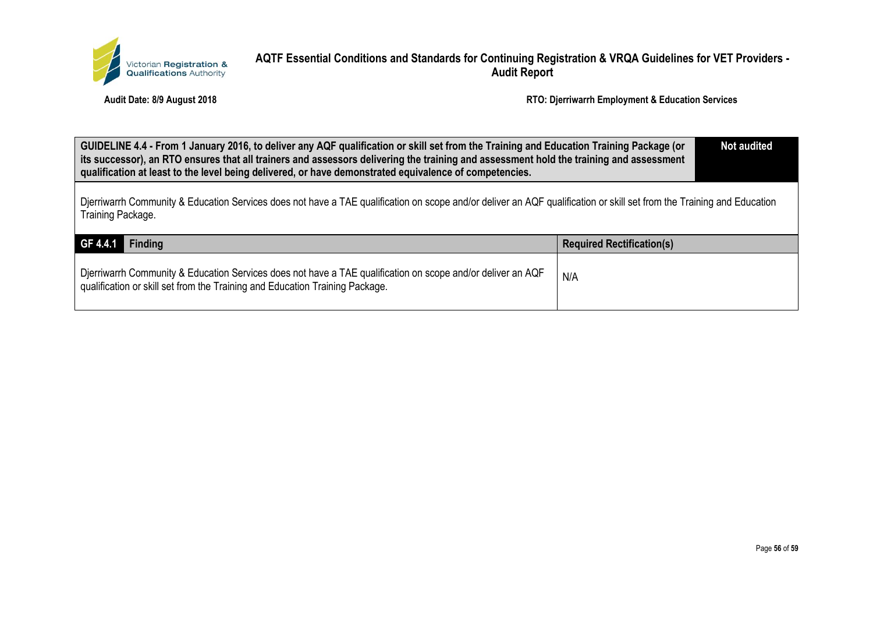

| GUIDELINE 4.4 - From 1 January 2016, to deliver any AQF qualification or skill set from the Training and Education Training Package (or<br>its successor), an RTO ensures that all trainers and assessors delivering the training and assessment hold the training and assessment<br>qualification at least to the level being delivered, or have demonstrated equivalence of competencies. |                                  | <b>Not audited</b> |
|---------------------------------------------------------------------------------------------------------------------------------------------------------------------------------------------------------------------------------------------------------------------------------------------------------------------------------------------------------------------------------------------|----------------------------------|--------------------|
| Djerriwarrh Community & Education Services does not have a TAE qualification on scope and/or deliver an AQF qualification or skill set from the Training and Education<br>Training Package.                                                                                                                                                                                                 |                                  |                    |
| GF 4.4.1<br><b>Finding</b>                                                                                                                                                                                                                                                                                                                                                                  | <b>Required Rectification(s)</b> |                    |
| Djerriwarrh Community & Education Services does not have a TAE qualification on scope and/or deliver an AQF<br>qualification or skill set from the Training and Education Training Package.                                                                                                                                                                                                 | N/A                              |                    |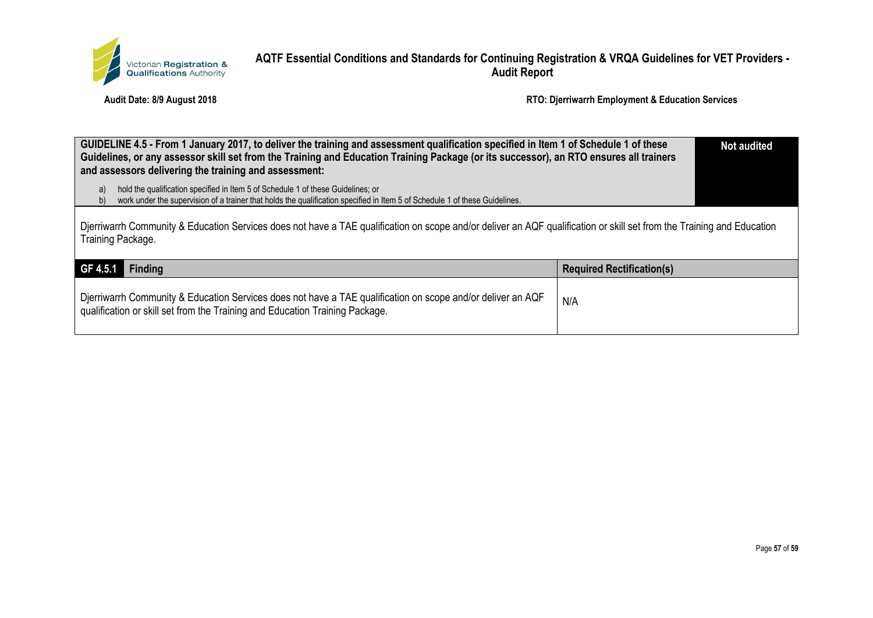

| GUIDELINE 4.5 - From 1 January 2017, to deliver the training and assessment qualification specified in Item 1 of Schedule 1 of these<br>Guidelines, or any assessor skill set from the Training and Education Training Package (or its successor), an RTO ensures all trainers<br>and assessors delivering the training and assessment: |                                  |  |
|-----------------------------------------------------------------------------------------------------------------------------------------------------------------------------------------------------------------------------------------------------------------------------------------------------------------------------------------|----------------------------------|--|
| hold the qualification specified in Item 5 of Schedule 1 of these Guidelines; or<br>a)<br>work under the supervision of a trainer that holds the qualification specified in Item 5 of Schedule 1 of these Guidelines.<br>D)                                                                                                             |                                  |  |
| Djerriwarrh Community & Education Services does not have a TAE qualification on scope and/or deliver an AQF qualification or skill set from the Training and Education<br>Training Package.                                                                                                                                             |                                  |  |
| GF 4.5.1<br><b>Finding</b>                                                                                                                                                                                                                                                                                                              | <b>Required Rectification(s)</b> |  |
| Djerriwarrh Community & Education Services does not have a TAE qualification on scope and/or deliver an AQF<br>qualification or skill set from the Training and Education Training Package.                                                                                                                                             | N/A                              |  |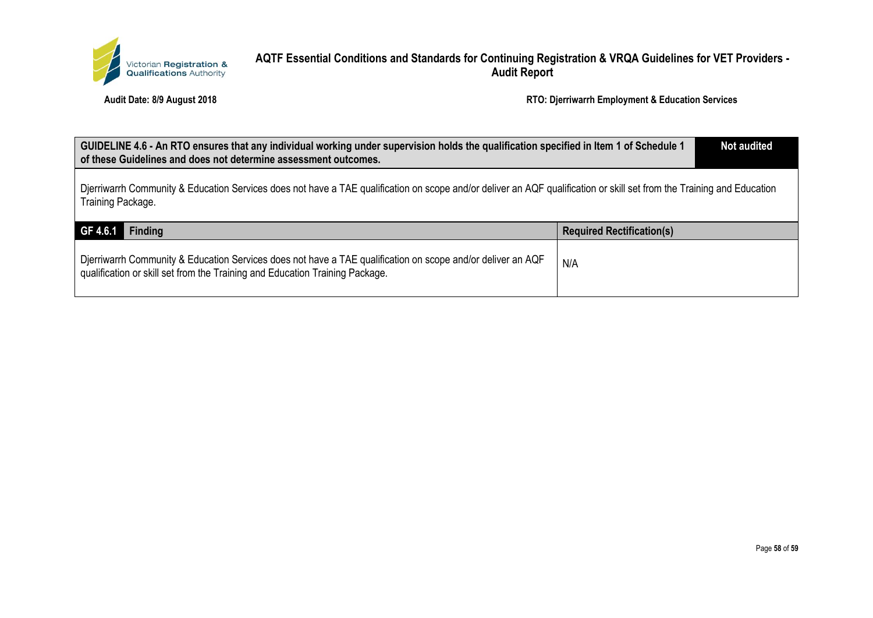

| GUIDELINE 4.6 - An RTO ensures that any individual working under supervision holds the qualification specified in Item 1 of Schedule 1<br>of these Guidelines and does not determine assessment outcomes. |                                  | <b>Not audited</b> |
|-----------------------------------------------------------------------------------------------------------------------------------------------------------------------------------------------------------|----------------------------------|--------------------|
| Djerriwarrh Community & Education Services does not have a TAE qualification on scope and/or deliver an AQF qualification or skill set from the Training and Education<br>Training Package.               |                                  |                    |
| GF 4.6.1<br><b>Finding</b>                                                                                                                                                                                | <b>Required Rectification(s)</b> |                    |
| Djerriwarrh Community & Education Services does not have a TAE qualification on scope and/or deliver an AQF<br>qualification or skill set from the Training and Education Training Package.               | N/A                              |                    |